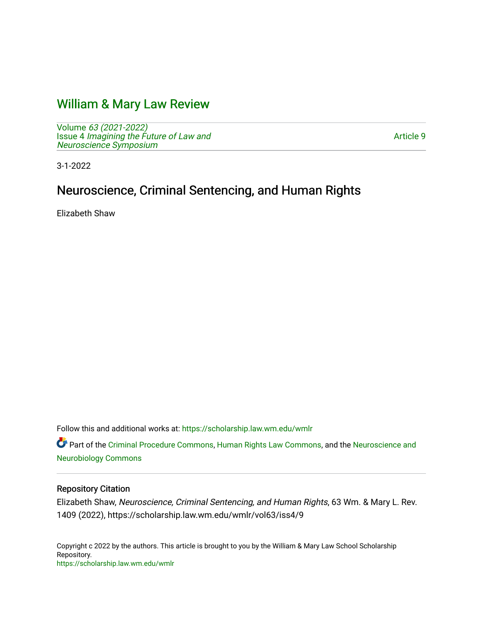# [William & Mary Law Review](https://scholarship.law.wm.edu/wmlr)

Volume [63 \(2021-2022\)](https://scholarship.law.wm.edu/wmlr/vol63)  Issue 4 [Imagining the Future of Law and](https://scholarship.law.wm.edu/wmlr/vol63/iss4)  [Neuroscience Symposium](https://scholarship.law.wm.edu/wmlr/vol63/iss4) 

[Article 9](https://scholarship.law.wm.edu/wmlr/vol63/iss4/9) 

3-1-2022

# Neuroscience, Criminal Sentencing, and Human Rights

Elizabeth Shaw

Follow this and additional works at: [https://scholarship.law.wm.edu/wmlr](https://scholarship.law.wm.edu/wmlr?utm_source=scholarship.law.wm.edu%2Fwmlr%2Fvol63%2Fiss4%2F9&utm_medium=PDF&utm_campaign=PDFCoverPages)

Part of the [Criminal Procedure Commons,](https://network.bepress.com/hgg/discipline/1073?utm_source=scholarship.law.wm.edu%2Fwmlr%2Fvol63%2Fiss4%2F9&utm_medium=PDF&utm_campaign=PDFCoverPages) [Human Rights Law Commons,](https://network.bepress.com/hgg/discipline/847?utm_source=scholarship.law.wm.edu%2Fwmlr%2Fvol63%2Fiss4%2F9&utm_medium=PDF&utm_campaign=PDFCoverPages) and the [Neuroscience and](https://network.bepress.com/hgg/discipline/55?utm_source=scholarship.law.wm.edu%2Fwmlr%2Fvol63%2Fiss4%2F9&utm_medium=PDF&utm_campaign=PDFCoverPages)  [Neurobiology Commons](https://network.bepress.com/hgg/discipline/55?utm_source=scholarship.law.wm.edu%2Fwmlr%2Fvol63%2Fiss4%2F9&utm_medium=PDF&utm_campaign=PDFCoverPages) 

### Repository Citation

Elizabeth Shaw, Neuroscience, Criminal Sentencing, and Human Rights, 63 Wm. & Mary L. Rev. 1409 (2022), https://scholarship.law.wm.edu/wmlr/vol63/iss4/9

Copyright c 2022 by the authors. This article is brought to you by the William & Mary Law School Scholarship Repository. <https://scholarship.law.wm.edu/wmlr>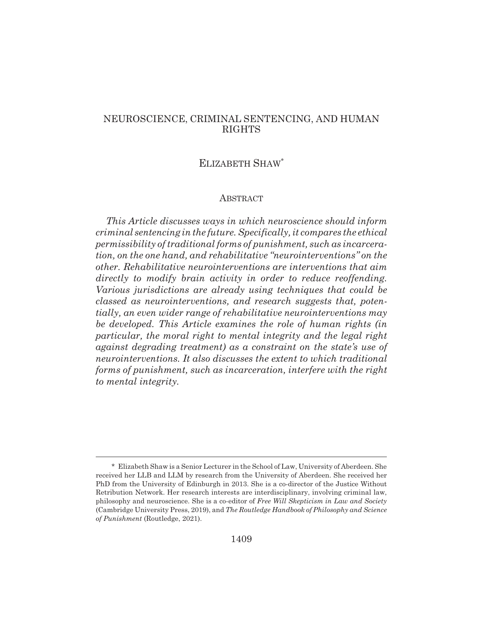## NEUROSCIENCE, CRIMINAL SENTENCING, AND HUMAN RIGHTS

# ELIZABETH SHAW\*

#### ABSTRACT

*This Article discusses ways in which neuroscience should inform criminal sentencing in the future. Specifically, it compares the ethical permissibility of traditional forms of punishment, such as incarceration, on the one hand, and rehabilitative "neurointerventions" on the other. Rehabilitative neurointerventions are interventions that aim directly to modify brain activity in order to reduce reoffending. Various jurisdictions are already using techniques that could be classed as neurointerventions, and research suggests that, potentially, an even wider range of rehabilitative neurointerventions may be developed. This Article examines the role of human rights (in particular, the moral right to mental integrity and the legal right against degrading treatment) as a constraint on the state's use of neurointerventions. It also discusses the extent to which traditional forms of punishment, such as incarceration, interfere with the right to mental integrity.*

<sup>\*</sup> Elizabeth Shaw is a Senior Lecturer in the School of Law, University of Aberdeen. She received her LLB and LLM by research from the University of Aberdeen. She received her PhD from the University of Edinburgh in 2013. She is a co-director of the Justice Without Retribution Network. Her research interests are interdisciplinary, involving criminal law, philosophy and neuroscience. She is a co-editor of *Free Will Skepticism in Law and Society* (Cambridge University Press, 2019), and *The Routledge Handbook of Philosophy and Science of Punishment* (Routledge, 2021).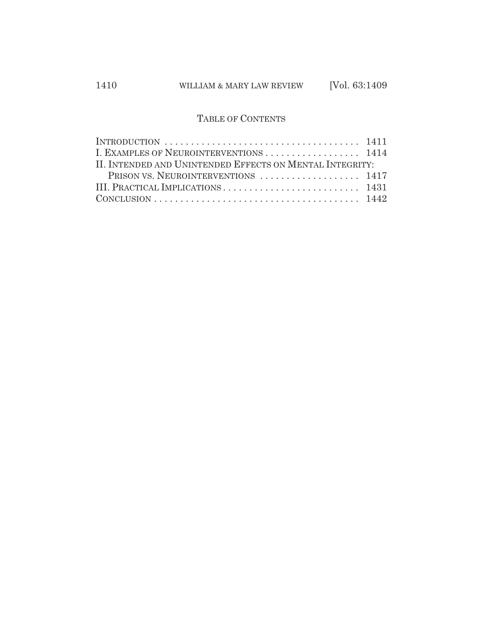# TABLE OF CONTENTS

| INTRODUCTION $\dots \dots \dots \dots \dots \dots \dots \dots \dots \dots \dots \dots \dots \dots 1411$ |  |
|---------------------------------------------------------------------------------------------------------|--|
| I. EXAMPLES OF NEUROINTERVENTIONS  1414                                                                 |  |
| II. INTENDED AND UNINTENDED EFFECTS ON MENTAL INTEGRITY:                                                |  |
| PRISON VS. NEUROINTERVENTIONS  1417                                                                     |  |
|                                                                                                         |  |
|                                                                                                         |  |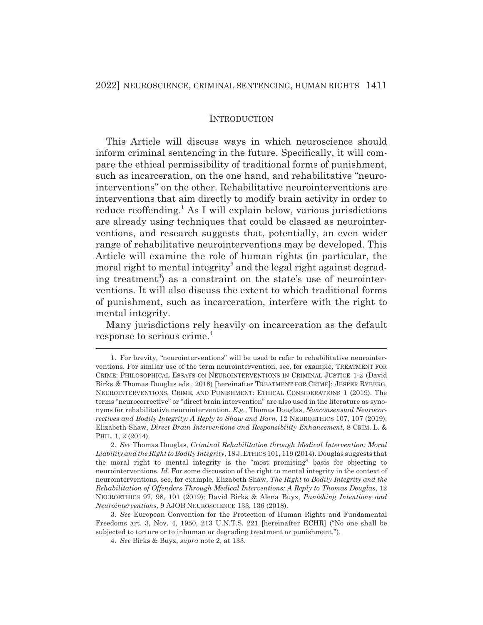#### INTRODUCTION

This Article will discuss ways in which neuroscience should inform criminal sentencing in the future. Specifically, it will compare the ethical permissibility of traditional forms of punishment, such as incarceration, on the one hand, and rehabilitative "neurointerventions" on the other. Rehabilitative neurointerventions are interventions that aim directly to modify brain activity in order to reduce reoffending.<sup>1</sup> As I will explain below, various jurisdictions are already using techniques that could be classed as neurointerventions, and research suggests that, potentially, an even wider range of rehabilitative neurointerventions may be developed. This Article will examine the role of human rights (in particular, the moral right to mental integrity<sup>2</sup> and the legal right against degrading treatment<sup>3</sup>) as a constraint on the state's use of neurointerventions. It will also discuss the extent to which traditional forms of punishment, such as incarceration, interfere with the right to mental integrity.

Many jurisdictions rely heavily on incarceration as the default response to serious crime.4

<sup>1.</sup> For brevity, "neurointerventions" will be used to refer to rehabilitative neurointerventions. For similar use of the term neurointervention, see, for example, TREATMENT FOR CRIME: PHILOSOPHICAL ESSAYS ON NEUROINTERVENTIONS IN CRIMINAL JUSTICE 1-2 (David Birks & Thomas Douglas eds., 2018) [hereinafter TREATMENT FOR CRIME]; JESPER RYBERG, NEUROINTERVENTIONS, CRIME, AND PUNISHMENT: ETHICAL CONSIDERATIONS 1 (2019). The terms "neurocorrective" or "direct brain intervention" are also used in the literature as synonyms for rehabilitative neurointervention. *E.g.*, Thomas Douglas, *Nonconsensual Neurocorrectives and Bodily Integrity: A Reply to Shaw and Barn*, 12 NEUROETHICS 107, 107 (2019); Elizabeth Shaw, *Direct Brain Interventions and Responsibility Enhancement*, 8 CRIM. L. & PHIL. 1, 2 (2014).

<sup>2.</sup> *See* Thomas Douglas, *Criminal Rehabilitation through Medical Intervention: Moral Liability and the Right to Bodily Integrity*, 18 J.ETHICS 101, 119 (2014). Douglas suggests that the moral right to mental integrity is the "most promising" basis for objecting to neurointerventions. *Id.* For some discussion of the right to mental integrity in the context of neurointerventions, see, for example, Elizabeth Shaw, *The Right to Bodily Integrity and the Rehabilitation of Offenders Through Medical Interventions: A Reply to Thomas Douglas*, 12 NEUROETHICS 97, 98, 101 (2019); David Birks & Alena Buyx, *Punishing Intentions and Neurointerventions*, 9 AJOB NEUROSCIENCE 133, 136 (2018).

<sup>3.</sup> *See* European Convention for the Protection of Human Rights and Fundamental Freedoms art. 3, Nov. 4, 1950, 213 U.N.T.S. 221 [hereinafter ECHR] ("No one shall be subjected to torture or to inhuman or degrading treatment or punishment.").

<sup>4.</sup> *See* Birks & Buyx, *supra* note 2, at 133.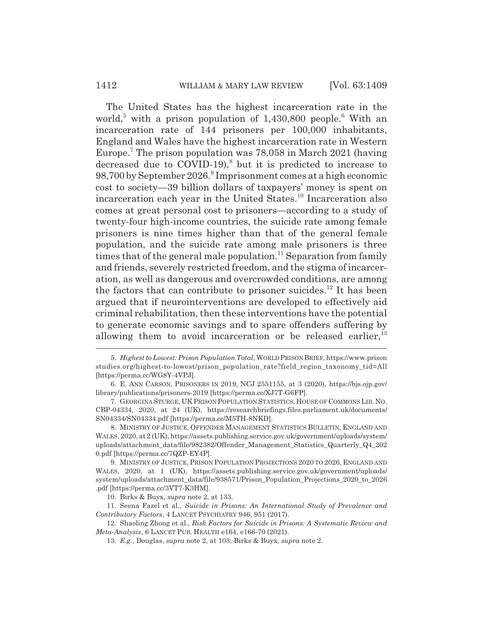The United States has the highest incarceration rate in the world,<sup>5</sup> with a prison population of 1,430,800 people.<sup>6</sup> With an incarceration rate of 144 prisoners per 100,000 inhabitants, England and Wales have the highest incarceration rate in Western Europe.<sup>7</sup> The prison population was 78,058 in March 2021 (having decreased due to COVID-19),<sup>8</sup> but it is predicted to increase to 98,700 by September 2026.<sup>9</sup> Imprisonment comes at a high economic cost to society—39 billion dollars of taxpayers' money is spent on incarceration each year in the United States.10 Incarceration also comes at great personal cost to prisoners—according to a study of twenty-four high-income countries, the suicide rate among female prisoners is nine times higher than that of the general female population, and the suicide rate among male prisoners is three times that of the general male population.<sup>11</sup> Separation from family and friends, severely restricted freedom, and the stigma of incarceration, as well as dangerous and overcrowded conditions, are among the factors that can contribute to prisoner suicides.<sup>12</sup> It has been argued that if neurointerventions are developed to effectively aid criminal rehabilitation, then these interventions have the potential to generate economic savings and to spare offenders suffering by allowing them to avoid incarceration or be released earlier, $13$ 

<sup>5.</sup> *Highest to Lowest: Prison Population Total*, WORLD PRISON BRIEF, https://www.prison studies.org/highest-to-lowest/prison\_population\_rate?field\_region\_taxonomy\_tid=All [https://perma.cc/WG8Y-4VPJ].

<sup>6.</sup> E. ANN CARSON, PRISONERS IN 2019, NCJ 2551155, at 3 (2020), https://bjs.ojp.gov/ library/publications/prisoners-2019 [https://perma.cc/XJ7T-G6FP].

<sup>7.</sup> GEORGINA STURGE, UK PRISON POPULATION STATISTICS, HOUSE OF COMMONSLIB. NO. CBP-04334, 2020, at 24 (UK), https://researchbriefings.files.parliament.uk/documents/ SN04334/SN04334.pdf [https://perma.cc/M5TH-8NKD].

<sup>8.</sup> MINISTRY OF JUSTICE, OFFENDER MANAGEMENT STATISTICS BULLETIN, ENGLAND AND WALES, 2020, at 2 (UK), https://assets.publishing.service.gov.uk/government/uploads/system/ uploads/attachment\_data/file/982382/Offender\_Management\_Statistics\_Quarterly\_Q4\_202 0.pdf [https://perma.cc/7QZP-EY4P].

<sup>9.</sup> MINISTRY OF JUSTICE, PRISON POPULATION PROJECTIONS 2020 TO 2026, ENGLAND AND WALES, 2020, at 1 (UK), https://assets.publishing.service.gov.uk/government/uploads/ system/uploads/attachment\_data/file/938571/Prison\_Population\_Projections\_2020\_to\_2026 .pdf [https://perma.cc/3VT7-K3HM].

<sup>10.</sup> Birks & Buyx, *supra* note 2, at 133.

<sup>11.</sup> Seena Fazel et al., *Suicide in Prisons: An International Study of Prevalence and Contributory Factors*, 4 LANCET PSYCHIATRY 946, 951 (2017).

<sup>12.</sup> Shaoling Zhong et al., *Risk Factors for Suicide in Prisons: A Systematic Review and Meta-Analysis*, 6 LANCET PUB. HEALTH e164, e166-70 (2021).

<sup>13.</sup> *E.g.*, Douglas, *supra* note 2, at 103; Birks & Buyx, *supra* note 2.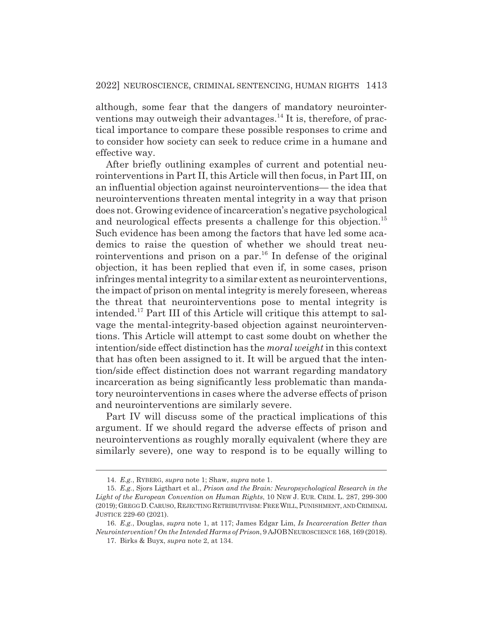although, some fear that the dangers of mandatory neurointerventions may outweigh their advantages.<sup>14</sup> It is, therefore, of practical importance to compare these possible responses to crime and to consider how society can seek to reduce crime in a humane and effective way.

After briefly outlining examples of current and potential neurointerventions in Part II, this Article will then focus, in Part III, on an influential objection against neurointerventions— the idea that neurointerventions threaten mental integrity in a way that prison does not. Growing evidence of incarceration's negative psychological and neurological effects presents a challenge for this objection.<sup>15</sup> Such evidence has been among the factors that have led some academics to raise the question of whether we should treat neurointerventions and prison on a par.<sup>16</sup> In defense of the original objection, it has been replied that even if, in some cases, prison infringes mental integrity to a similar extent as neurointerventions, the impact of prison on mental integrity is merely foreseen, whereas the threat that neurointerventions pose to mental integrity is intended.17 Part III of this Article will critique this attempt to salvage the mental-integrity-based objection against neurointerventions. This Article will attempt to cast some doubt on whether the intention/side effect distinction has the *moral weight* in this context that has often been assigned to it. It will be argued that the intention/side effect distinction does not warrant regarding mandatory incarceration as being significantly less problematic than mandatory neurointerventions in cases where the adverse effects of prison and neurointerventions are similarly severe.

Part IV will discuss some of the practical implications of this argument. If we should regard the adverse effects of prison and neurointerventions as roughly morally equivalent (where they are similarly severe), one way to respond is to be equally willing to

<sup>14.</sup> *E.g.*, RYBERG, *supra* note 1; Shaw, *supra* note 1.

<sup>15.</sup> *E.g.*, Sjors Ligthart et al., *Prison and the Brain: Neuropsychological Research in the Light of the European Convention on Human Rights*, 10 NEW J. EUR. CRIM. L. 287, 299-300 (2019); GREGG D.CARUSO, REJECTING RETRIBUTIVISM:FREEWILL,PUNISHMENT, AND CRIMINAL JUSTICE 229-60 (2021).

<sup>16.</sup> *E.g.*, Douglas, *supra* note 1, at 117; James Edgar Lim, *Is Incarceration Better than Neurointervention? On the Intended Harms of Prison*, 9 AJOBNEUROSCIENCE 168, 169 (2018).

<sup>17.</sup> Birks & Buyx, *supra* note 2, at 134.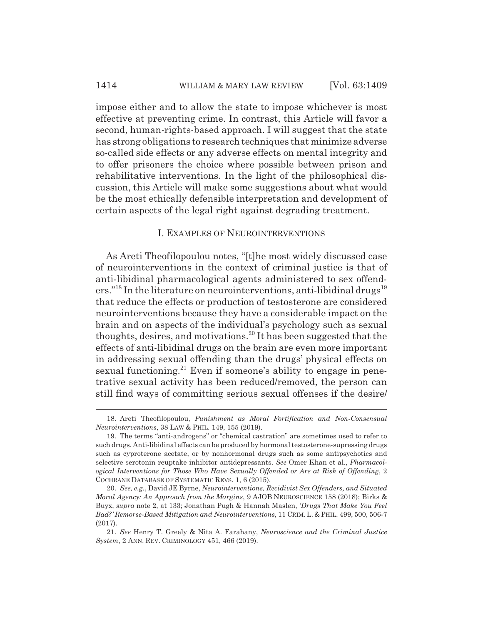#### 1414 WILLIAM & MARY LAW REVIEW [Vol. 63:1409]

impose either and to allow the state to impose whichever is most effective at preventing crime. In contrast, this Article will favor a second, human-rights-based approach. I will suggest that the state has strong obligations to research techniques that minimize adverse so-called side effects or any adverse effects on mental integrity and to offer prisoners the choice where possible between prison and rehabilitative interventions. In the light of the philosophical discussion, this Article will make some suggestions about what would be the most ethically defensible interpretation and development of certain aspects of the legal right against degrading treatment.

#### I. EXAMPLES OF NEUROINTERVENTIONS

As Areti Theofilopoulou notes, "[t]he most widely discussed case of neurointerventions in the context of criminal justice is that of anti-libidinal pharmacological agents administered to sex offenders."<sup>18</sup> In the literature on neurointerventions, anti-libidinal drugs<sup>19</sup> that reduce the effects or production of testosterone are considered neurointerventions because they have a considerable impact on the brain and on aspects of the individual's psychology such as sexual thoughts, desires, and motivations.<sup>20</sup> It has been suggested that the effects of anti-libidinal drugs on the brain are even more important in addressing sexual offending than the drugs' physical effects on sexual functioning.<sup>21</sup> Even if someone's ability to engage in penetrative sexual activity has been reduced/removed, the person can still find ways of committing serious sexual offenses if the desire/

<sup>18.</sup> Areti Theofilopoulou, *Punishment as Moral Fortification and Non-Consensual Neurointerventions*, 38 LAW & PHIL. 149, 155 (2019).

<sup>19.</sup> The terms "anti-androgens" or "chemical castration" are sometimes used to refer to such drugs. Anti-libidinal effects can be produced by hormonal testosterone-supressing drugs such as cyproterone acetate, or by nonhormonal drugs such as some antipsychotics and selective serotonin reuptake inhibitor antidepressants. *See* Omer Khan et al., *Pharmacological Interventions for Those Who Have Sexually Offended or Are at Risk of Offending*, 2 COCHRANE DATABASE OF SYSTEMATIC REVS. 1, 6 (2015).

<sup>20.</sup> *See, e.g.*, David JE Byrne, *Neurointerventions, Recidivist Sex Offenders, and Situated Moral Agency: An Approach from the Margins*, 9 AJOB NEUROSCIENCE 158 (2018); Birks & Buyx, *supra* note 2, at 133; Jonathan Pugh & Hannah Maslen, *'Drugs That Make You Feel Bad?' Remorse-Based Mitigation and Neurointerventions*, 11 CRIM. L. & PHIL. 499, 500, 506-7 (2017).

<sup>21.</sup> *See* Henry T. Greely & Nita A. Farahany, *Neuroscience and the Criminal Justice System*, 2 ANN. REV. CRIMINOLOGY 451, 466 (2019).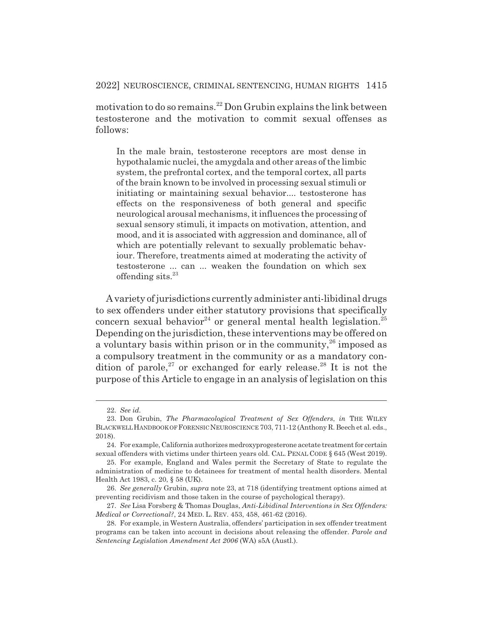motivation to do so remains.22 Don Grubin explains the link between testosterone and the motivation to commit sexual offenses as follows:

In the male brain, testosterone receptors are most dense in hypothalamic nuclei, the amygdala and other areas of the limbic system, the prefrontal cortex, and the temporal cortex, all parts of the brain known to be involved in processing sexual stimuli or initiating or maintaining sexual behavior.... testosterone has effects on the responsiveness of both general and specific neurological arousal mechanisms, it influences the processing of sexual sensory stimuli, it impacts on motivation, attention, and mood, and it is associated with aggression and dominance, all of which are potentially relevant to sexually problematic behaviour. Therefore, treatments aimed at moderating the activity of testosterone ... can ... weaken the foundation on which sex offending sits. $23$ 

A variety of jurisdictions currently administer anti-libidinal drugs to sex offenders under either statutory provisions that specifically concern sexual behavior<sup>24</sup> or general mental health legislation.<sup>25</sup> Depending on the jurisdiction, these interventions may be offered on a voluntary basis within prison or in the community,  $26$  imposed as a compulsory treatment in the community or as a mandatory condition of parole,<sup>27</sup> or exchanged for early release.<sup>28</sup> It is not the purpose of this Article to engage in an analysis of legislation on this

27. *See* Lisa Forsberg & Thomas Douglas, *Anti-Libidinal Interventions in Sex Offenders: Medical or Correctional?*, 24 MED. L. REV. 453, 458, 461-62 (2016).

<sup>22.</sup> *See id.*

<sup>23.</sup> Don Grubin, *The Pharmacological Treatment of Sex Offenders*, *in* THE WILEY BLACKWELL HANDBOOK OF FORENSIC NEUROSCIENCE 703, 711-12 (Anthony R. Beech et al. eds., 2018).

<sup>24.</sup> For example, California authorizes medroxyprogesterone acetate treatment for certain sexual offenders with victims under thirteen years old. CAL. PENAL CODE § 645 (West 2019).

<sup>25.</sup> For example, England and Wales permit the Secretary of State to regulate the administration of medicine to detainees for treatment of mental health disorders. Mental Health Act 1983, c. 20, § 58 (UK).

<sup>26.</sup> *See generally* Grubin, *supra* note 23, at 718 (identifying treatment options aimed at preventing recidivism and those taken in the course of psychological therapy).

<sup>28.</sup> For example, in Western Australia, offenders' participation in sex offender treatment programs can be taken into account in decisions about releasing the offender. *Parole and Sentencing Legislation Amendment Act 2006* (WA) s5A (Austl.).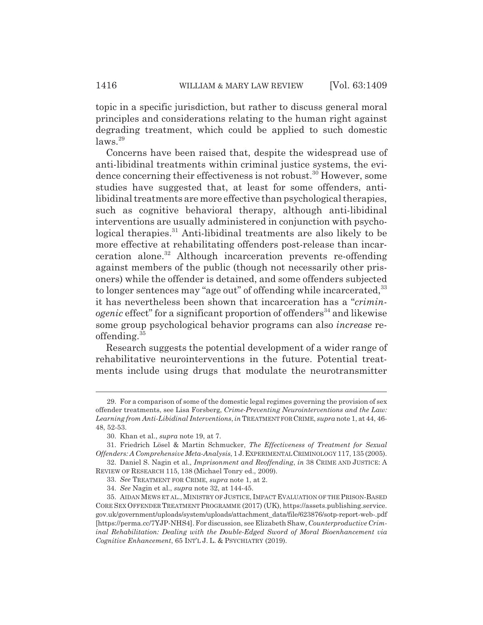topic in a specific jurisdiction, but rather to discuss general moral principles and considerations relating to the human right against degrading treatment, which could be applied to such domestic  $\text{laws}$ .<sup>29</sup>

Concerns have been raised that, despite the widespread use of anti-libidinal treatments within criminal justice systems, the evidence concerning their effectiveness is not robust.<sup>30</sup> However, some studies have suggested that, at least for some offenders, antilibidinal treatments are more effective than psychological therapies, such as cognitive behavioral therapy, although anti-libidinal interventions are usually administered in conjunction with psychological therapies.<sup>31</sup> Anti-libidinal treatments are also likely to be more effective at rehabilitating offenders post-release than incarceration alone.32 Although incarceration prevents re-offending against members of the public (though not necessarily other prisoners) while the offender is detained, and some offenders subjected to longer sentences may "age out" of offending while incarcerated, <sup>33</sup> it has nevertheless been shown that incarceration has a "*criminogenic* effect" for a significant proportion of offenders<sup>34</sup> and likewise some group psychological behavior programs can also *increase* reoffending. $35$ 

Research suggests the potential development of a wider range of rehabilitative neurointerventions in the future. Potential treatments include using drugs that modulate the neurotransmitter

<sup>29.</sup> For a comparison of some of the domestic legal regimes governing the provision of sex offender treatments, see Lisa Forsberg, *Crime-Preventing Neurointerventions and the Law: Learning from Anti-Libidinal Interventions*,*in* TREATMENT FOR CRIME, *supra* note 1, at 44, 46- 48, 52-53.

<sup>30.</sup> Khan et al., *supra* note 19, at 7.

<sup>31.</sup> Friedrich Lösel & Martin Schmucker, *The Effectiveness of Treatment for Sexual Offenders: A Comprehensive Meta-Analysis*, 1 J.EXPERIMENTAL CRIMINOLOGY 117, 135 (2005). 32. Daniel S. Nagin et al., *Imprisonment and Reoffending*, *in* 38 CRIME AND JUSTICE: A

REVIEW OF RESEARCH 115, 138 (Michael Tonry ed., 2009).

<sup>33.</sup> *See* TREATMENT FOR CRIME, *supra* note 1, at 2.

<sup>34.</sup> *See* Nagin et al., *supra* note 32, at 144-45.

<sup>35.</sup> AIDAN MEWS ET AL., MINISTRY OF JUSTICE, IMPACT EVALUATION OF THE PRISON-BASED CORE SEX OFFENDER TREATMENT PROGRAMME (2017) (UK), https://assets.publishing.service. gov.uk/government/uploads/system/uploads/attachment\_data/file/623876/sotp-report-web-.pdf [https://perma.cc/7YJP-NHS4]. For discussion, see Elizabeth Shaw, *Counterproductive Criminal Rehabilitation: Dealing with the Double-Edged Sword of Moral Bioenhancement via Cognitive Enhancement*, 65 INT'L J. L. & PSYCHIATRY (2019).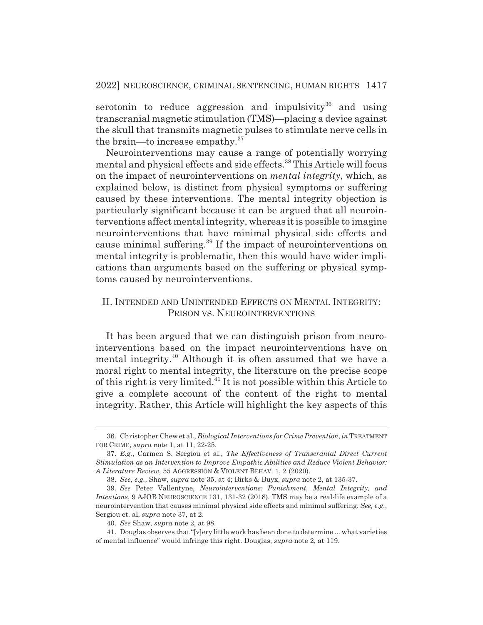serotonin to reduce aggression and impulsivity<sup>36</sup> and using transcranial magnetic stimulation (TMS)—placing a device against the skull that transmits magnetic pulses to stimulate nerve cells in the brain—to increase empathy.37

Neurointerventions may cause a range of potentially worrying mental and physical effects and side effects.38 This Article will focus on the impact of neurointerventions on *mental integrity*, which, as explained below, is distinct from physical symptoms or suffering caused by these interventions. The mental integrity objection is particularly significant because it can be argued that all neurointerventions affect mental integrity, whereas it is possible to imagine neurointerventions that have minimal physical side effects and cause minimal suffering.39 If the impact of neurointerventions on mental integrity is problematic, then this would have wider implications than arguments based on the suffering or physical symptoms caused by neurointerventions.

## II. INTENDED AND UNINTENDED EFFECTS ON MENTAL INTEGRITY: PRISON VS. NEUROINTERVENTIONS

It has been argued that we can distinguish prison from neurointerventions based on the impact neurointerventions have on mental integrity.40 Although it is often assumed that we have a moral right to mental integrity, the literature on the precise scope of this right is very limited.41 It is not possible within this Article to give a complete account of the content of the right to mental integrity. Rather, this Article will highlight the key aspects of this

<sup>36.</sup> Christopher Chew et al., *Biological Interventions for Crime Prevention*, *in* TREATMENT FOR CRIME, *supra* note 1, at 11, 22-25.

<sup>37.</sup> *E.g.*, Carmen S. Sergiou et al., *The Effectiveness of Transcranial Direct Current Stimulation as an Intervention to Improve Empathic Abilities and Reduce Violent Behavior: A Literature Review*, 55 AGGRESSION & VIOLENT BEHAV. 1, 2 (2020).

<sup>38.</sup> *See, e.g.*, Shaw, *supra* note 35, at 4; Birks & Buyx, *supra* note 2, at 135-37.

<sup>39.</sup> *See* Peter Vallentyne, *Neurointerventions: Punishment, Mental Integrity, and Intentions*, 9 AJOB NEUROSCIENCE 131, 131-32 (2018). TMS may be a real-life example of a neurointervention that causes minimal physical side effects and minimal suffering. *See, e.g.*, Sergiou et. al, *supra* note 37, at 2.

<sup>40.</sup> *See* Shaw, *supra* note 2, at 98.

<sup>41.</sup> Douglas observes that "[v]ery little work has been done to determine ... what varieties of mental influence" would infringe this right. Douglas, *supra* note 2, at 119.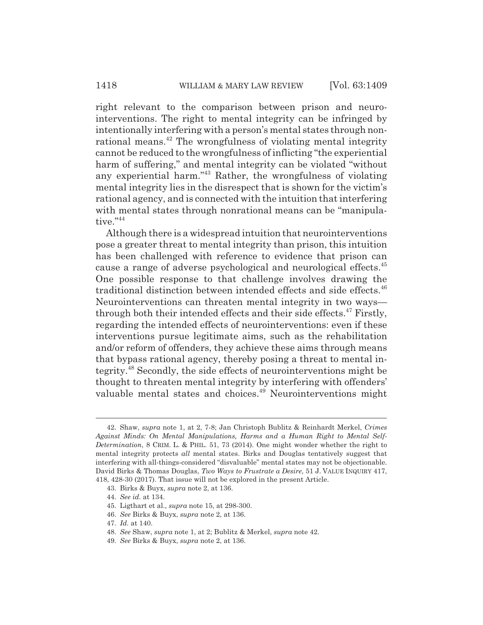right relevant to the comparison between prison and neurointerventions. The right to mental integrity can be infringed by intentionally interfering with a person's mental states through nonrational means.<sup>42</sup> The wrongfulness of violating mental integrity cannot be reduced to the wrongfulness of inflicting "the experiential harm of suffering," and mental integrity can be violated "without" any experiential harm."43 Rather, the wrongfulness of violating mental integrity lies in the disrespect that is shown for the victim's rational agency, and is connected with the intuition that interfering with mental states through nonrational means can be "manipulative."44

Although there is a widespread intuition that neurointerventions pose a greater threat to mental integrity than prison, this intuition has been challenged with reference to evidence that prison can cause a range of adverse psychological and neurological effects.45 One possible response to that challenge involves drawing the traditional distinction between intended effects and side effects.<sup>46</sup> Neurointerventions can threaten mental integrity in two ways through both their intended effects and their side effects. $47$  Firstly, regarding the intended effects of neurointerventions: even if these interventions pursue legitimate aims, such as the rehabilitation and/or reform of offenders, they achieve these aims through means that bypass rational agency, thereby posing a threat to mental integrity.48 Secondly, the side effects of neurointerventions might be thought to threaten mental integrity by interfering with offenders' valuable mental states and choices.<sup>49</sup> Neurointerventions might

<sup>42.</sup> Shaw, *supra* note 1, at 2, 7-8; Jan Christoph Bublitz & Reinhardt Merkel, *Crimes Against Minds: On Mental Manipulations, Harms and a Human Right to Mental Self-Determination*, 8 CRIM. L. & PHIL. 51, 73 (2014). One might wonder whether the right to mental integrity protects *all* mental states. Birks and Douglas tentatively suggest that interfering with all-things-considered "disvaluable" mental states may not be objectionable. David Birks & Thomas Douglas, *Two Ways to Frustrate a Desire*, 51 J. VALUE INQUIRY 417, 418, 428-30 (2017). That issue will not be explored in the present Article.

<sup>43.</sup> Birks & Buyx, *supra* note 2, at 136.

<sup>44.</sup> *See id.* at 134.

<sup>45.</sup> Ligthart et al., *supra* note 15, at 298-300.

<sup>46.</sup> *See* Birks & Buyx, *supra* note 2, at 136.

<sup>47.</sup> *Id.* at 140.

<sup>48.</sup> *See* Shaw, *supra* note 1, at 2; Bublitz & Merkel, *supra* note 42.

<sup>49.</sup> *See* Birks & Buyx, *supra* note 2, at 136.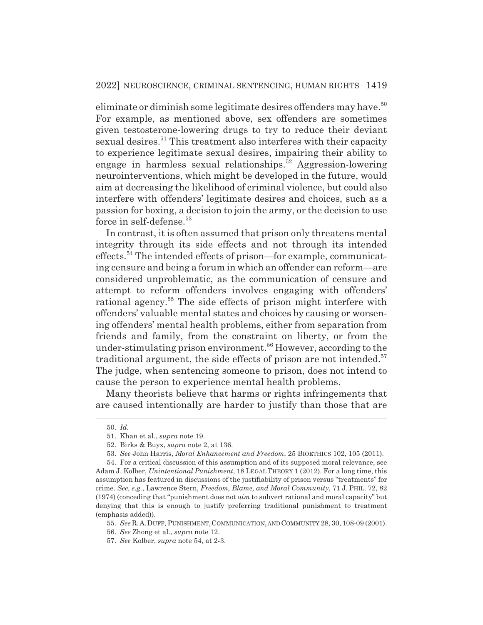eliminate or diminish some legitimate desires offenders may have.<sup>50</sup> For example, as mentioned above, sex offenders are sometimes given testosterone-lowering drugs to try to reduce their deviant sexual desires.<sup>51</sup> This treatment also interferes with their capacity to experience legitimate sexual desires, impairing their ability to engage in harmless sexual relationships.<sup>52</sup> Aggression-lowering neurointerventions, which might be developed in the future, would aim at decreasing the likelihood of criminal violence, but could also interfere with offenders' legitimate desires and choices, such as a passion for boxing, a decision to join the army, or the decision to use force in self-defense.<sup>53</sup>

In contrast, it is often assumed that prison only threatens mental integrity through its side effects and not through its intended effects.54 The intended effects of prison—for example, communicating censure and being a forum in which an offender can reform—are considered unproblematic, as the communication of censure and attempt to reform offenders involves engaging with offenders' rational agency.<sup>55</sup> The side effects of prison might interfere with offenders' valuable mental states and choices by causing or worsening offenders' mental health problems, either from separation from friends and family, from the constraint on liberty, or from the under-stimulating prison environment.<sup>56</sup> However, according to the traditional argument, the side effects of prison are not intended.<sup>57</sup> The judge, when sentencing someone to prison, does not intend to cause the person to experience mental health problems.

Many theorists believe that harms or rights infringements that are caused intentionally are harder to justify than those that are

<sup>50.</sup> *Id.*

<sup>51.</sup> Khan et al., *supra* note 19.

<sup>52.</sup> Birks & Buyx, *supra* note 2, at 136.

<sup>53.</sup> *See* John Harris, *Moral Enhancement and Freedom*, 25 BIOETHICS 102, 105 (2011).

<sup>54.</sup> For a critical discussion of this assumption and of its supposed moral relevance, see Adam J. Kolber, *Unintentional Punishment*, 18 LEGAL THEORY 1 (2012). For a long time, this assumption has featured in discussions of the justifiability of prison versus "treatments" for crime. *See, e.g.*, Lawrence Stern, *Freedom, Blame, and Moral Community*, 71 J. PHIL. 72, 82 (1974) (conceding that "punishment does not *aim* to subvert rational and moral capacity" but denying that this is enough to justify preferring traditional punishment to treatment (emphasis added)).

<sup>55.</sup> *See* R.A.DUFF, PUNISHMENT,COMMUNICATION, AND COMMUNITY 28, 30, 108-09 (2001).

<sup>56.</sup> *See* Zhong et al., *supra* note 12.

<sup>57.</sup> *See* Kolber, *supra* note 54, at 2-3.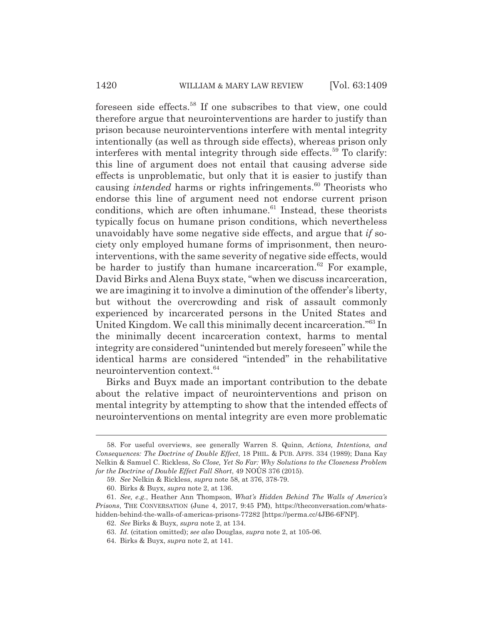foreseen side effects.58 If one subscribes to that view, one could therefore argue that neurointerventions are harder to justify than prison because neurointerventions interfere with mental integrity intentionally (as well as through side effects), whereas prison only interferes with mental integrity through side effects.<sup>59</sup> To clarify: this line of argument does not entail that causing adverse side effects is unproblematic, but only that it is easier to justify than causing *intended* harms or rights infringements.<sup>60</sup> Theorists who endorse this line of argument need not endorse current prison conditions, which are often inhumane.<sup>61</sup> Instead, these theorists typically focus on humane prison conditions, which nevertheless unavoidably have some negative side effects, and argue that *if* society only employed humane forms of imprisonment, then neurointerventions, with the same severity of negative side effects, would be harder to justify than humane incarceration. $62$  For example, David Birks and Alena Buyx state, "when we discuss incarceration, we are imagining it to involve a diminution of the offender's liberty, but without the overcrowding and risk of assault commonly experienced by incarcerated persons in the United States and United Kingdom. We call this minimally decent incarceration."63 In the minimally decent incarceration context, harms to mental integrity are considered "unintended but merely foreseen" while the identical harms are considered "intended" in the rehabilitative neurointervention context.<sup>64</sup>

Birks and Buyx made an important contribution to the debate about the relative impact of neurointerventions and prison on mental integrity by attempting to show that the intended effects of neurointerventions on mental integrity are even more problematic

<sup>58.</sup> For useful overviews, see generally Warren S. Quinn, *Actions, Intentions, and Consequences: The Doctrine of Double Effect*, 18 PHIL. & PUB. AFFS. 334 (1989); Dana Kay Nelkin & Samuel C. Rickless, *So Close, Yet So Far: Why Solutions to the Closeness Problem for the Doctrine of Double Effect Fall Short*, 49 NOÛS 376 (2015).

<sup>59.</sup> *See* Nelkin & Rickless, *supra* note 58, at 376, 378-79.

<sup>60.</sup> Birks & Buyx, *supra* note 2, at 136.

<sup>61.</sup> *See, e.g.*, Heather Ann Thompson, *What's Hidden Behind The Walls of America's Prisons*, THE CONVERSATION (June 4, 2017, 9:45 PM), https://theconversation.com/whatshidden-behind-the-walls-of-americas-prisons-77282 [https://perma.cc/4JB6-6FNP].

<sup>62.</sup> *See* Birks & Buyx, *supra* note 2, at 134.

<sup>63.</sup> *Id.* (citation omitted); *see also* Douglas, *supra* note 2, at 105-06.

<sup>64.</sup> Birks & Buyx, *supra* note 2, at 141.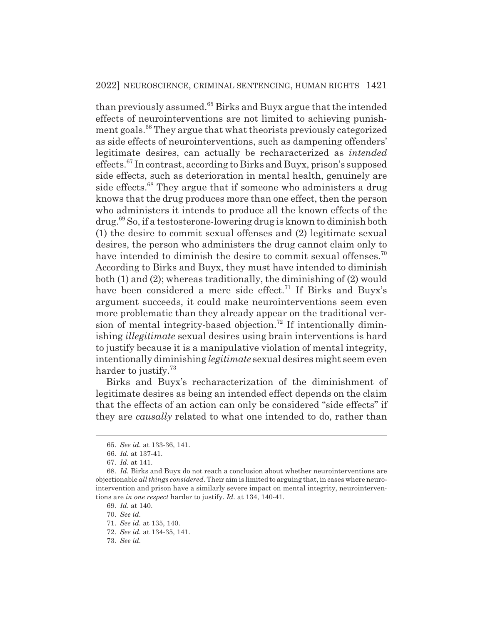than previously assumed.<sup>65</sup> Birks and Buyx argue that the intended effects of neurointerventions are not limited to achieving punishment goals.<sup>66</sup> They argue that what theorists previously categorized as side effects of neurointerventions, such as dampening offenders' legitimate desires, can actually be recharacterized as *intended* effects.67 In contrast, according to Birks and Buyx, prison's supposed side effects, such as deterioration in mental health, genuinely are side effects.<sup>68</sup> They argue that if someone who administers a drug knows that the drug produces more than one effect, then the person who administers it intends to produce all the known effects of the drug.69 So, if a testosterone-lowering drug is known to diminish both (1) the desire to commit sexual offenses and (2) legitimate sexual desires, the person who administers the drug cannot claim only to have intended to diminish the desire to commit sexual offenses.<sup>70</sup> According to Birks and Buyx, they must have intended to diminish both (1) and (2); whereas traditionally, the diminishing of (2) would have been considered a mere side effect.<sup>71</sup> If Birks and Buyx's argument succeeds, it could make neurointerventions seem even more problematic than they already appear on the traditional version of mental integrity-based objection.72 If intentionally diminishing *illegitimate* sexual desires using brain interventions is hard to justify because it is a manipulative violation of mental integrity, intentionally diminishing *legitimate* sexual desires might seem even harder to justify.<sup>73</sup>

Birks and Buyx's recharacterization of the diminishment of legitimate desires as being an intended effect depends on the claim that the effects of an action can only be considered "side effects" if they are *causally* related to what one intended to do, rather than

<sup>65.</sup> *See id.* at 133-36, 141.

<sup>66.</sup> *Id.* at 137-41.

<sup>67.</sup> *Id.* at 141.

<sup>68.</sup> *Id.* Birks and Buyx do not reach a conclusion about whether neurointerventions are objectionable *all things considered*. Their aim is limited to arguing that, in cases where neurointervention and prison have a similarly severe impact on mental integrity, neurointerventions are *in one respect* harder to justify. *Id.* at 134, 140-41.

<sup>69.</sup> *Id.* at 140.

<sup>70.</sup> *See id.*

<sup>71.</sup> *See id.* at 135, 140.

<sup>72.</sup> *See id.* at 134-35, 141.

<sup>73.</sup> *See id.*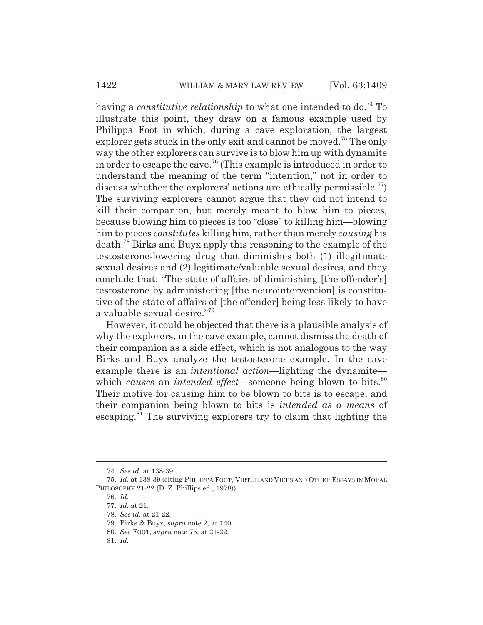having a *constitutive relationship* to what one intended to do.<sup>74</sup> To illustrate this point, they draw on a famous example used by Philippa Foot in which, during a cave exploration, the largest explorer gets stuck in the only exit and cannot be moved.<sup>75</sup> The only way the other explorers can survive is to blow him up with dynamite in order to escape the cave.76 (This example is introduced in order to understand the meaning of the term "intention," not in order to discuss whether the explorers' actions are ethically permissible.<sup>77</sup>) The surviving explorers cannot argue that they did not intend to kill their companion, but merely meant to blow him to pieces, because blowing him to pieces is too "close" to killing him—blowing him to pieces *constitutes* killing him, rather than merely *causing* his death.78 Birks and Buyx apply this reasoning to the example of the testosterone-lowering drug that diminishes both (1) illegitimate sexual desires and (2) legitimate/valuable sexual desires, and they conclude that: "The state of affairs of diminishing [the offender's] testosterone by administering [the neurointervention] is constitutive of the state of affairs of [the offender] being less likely to have a valuable sexual desire."79

However, it could be objected that there is a plausible analysis of why the explorers, in the cave example, cannot dismiss the death of their companion as a side effect, which is not analogous to the way Birks and Buyx analyze the testosterone example. In the cave example there is an *intentional action*—lighting the dynamite which *causes* an *intended effect*—someone being blown to bits.<sup>80</sup> Their motive for causing him to be blown to bits is to escape, and their companion being blown to bits is *intended as a means* of escaping.<sup>81</sup> The surviving explorers try to claim that lighting the

<sup>74.</sup> *See id.* at 138-39.

<sup>75.</sup> *Id.* at 138-39 (citing PHILIPPA FOOT, VIRTUE AND VICES AND OTHER ESSAYS IN MORAL PHILOSOPHY 21-22 (D. Z. Phillips ed., 1978)).

<sup>76.</sup> *Id.*

<sup>77.</sup> *Id.* at 21.

<sup>78.</sup> *See id.* at 21-22.

<sup>79.</sup> Birks & Buyx, *supra* note 2, at 140.

<sup>80.</sup> *See* FOOT, *supra* note 75, at 21-22.

<sup>81.</sup> *Id.*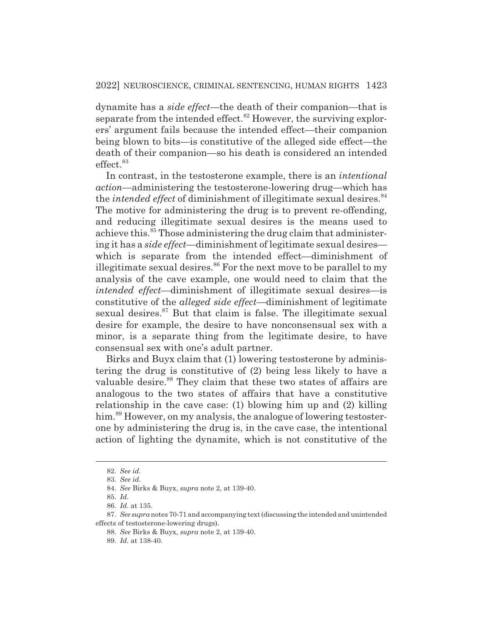dynamite has a *side effect*—the death of their companion—that is separate from the intended effect. $82$  However, the surviving explorers' argument fails because the intended effect—their companion being blown to bits—is constitutive of the alleged side effect—the death of their companion—so his death is considered an intended effect.<sup>83</sup>

In contrast, in the testosterone example, there is an *intentional action*—administering the testosterone-lowering drug—which has the *intended effect* of diminishment of illegitimate sexual desires.<sup>84</sup> The motive for administering the drug is to prevent re-offending, and reducing illegitimate sexual desires is the means used to achieve this.<sup>85</sup> Those administering the drug claim that administering it has a *side effect*—diminishment of legitimate sexual desires which is separate from the intended effect—diminishment of illegitimate sexual desires. $86$  For the next move to be parallel to my analysis of the cave example, one would need to claim that the *intended effect*—diminishment of illegitimate sexual desires—is constitutive of the *alleged side effect*—diminishment of legitimate sexual desires.<sup>87</sup> But that claim is false. The illegitimate sexual desire for example, the desire to have nonconsensual sex with a minor, is a separate thing from the legitimate desire, to have consensual sex with one's adult partner.

Birks and Buyx claim that (1) lowering testosterone by administering the drug is constitutive of (2) being less likely to have a valuable desire.<sup>88</sup> They claim that these two states of affairs are analogous to the two states of affairs that have a constitutive relationship in the cave case: (1) blowing him up and (2) killing him.<sup>89</sup> However, on my analysis, the analogue of lowering testosterone by administering the drug is, in the cave case, the intentional action of lighting the dynamite, which is not constitutive of the

<sup>82.</sup> *See id.*

<sup>83.</sup> *See id.*

<sup>84.</sup> *See* Birks & Buyx, *supra* note 2, at 139-40.

<sup>85.</sup> *Id.*

<sup>86.</sup> *Id.* at 135.

<sup>87.</sup> *See supra* notes 70-71 and accompanying text (discussing the intended and unintended effects of testosterone-lowering drugs).

<sup>88.</sup> *See* Birks & Buyx, *supra* note 2, at 139-40.

<sup>89.</sup> *Id.* at 138-40.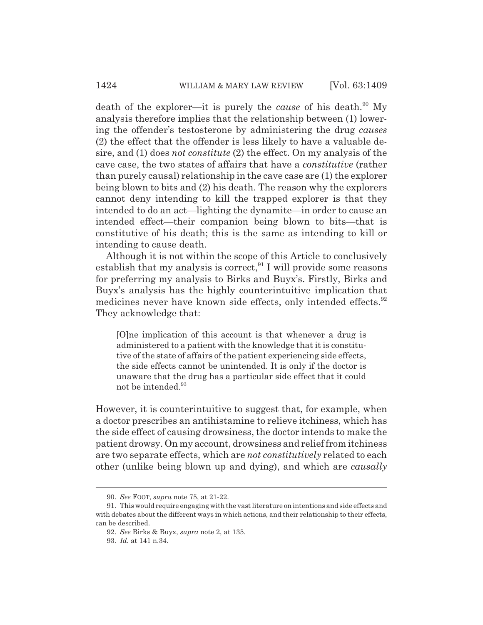death of the explorer—it is purely the *cause* of his death.<sup>90</sup> My analysis therefore implies that the relationship between (1) lowering the offender's testosterone by administering the drug *causes* (2) the effect that the offender is less likely to have a valuable desire, and (1) does *not constitute* (2) the effect. On my analysis of the cave case, the two states of affairs that have a *constitutive* (rather than purely causal) relationship in the cave case are (1) the explorer being blown to bits and (2) his death. The reason why the explorers cannot deny intending to kill the trapped explorer is that they intended to do an act—lighting the dynamite—in order to cause an intended effect—their companion being blown to bits—that is constitutive of his death; this is the same as intending to kill or intending to cause death.

Although it is not within the scope of this Article to conclusively establish that my analysis is correct,  $91$  I will provide some reasons for preferring my analysis to Birks and Buyx's. Firstly, Birks and Buyx's analysis has the highly counterintuitive implication that medicines never have known side effects, only intended effects.<sup>92</sup> They acknowledge that:

[O]ne implication of this account is that whenever a drug is administered to a patient with the knowledge that it is constitutive of the state of affairs of the patient experiencing side effects, the side effects cannot be unintended. It is only if the doctor is unaware that the drug has a particular side effect that it could not be intended.<sup>93</sup>

However, it is counterintuitive to suggest that, for example, when a doctor prescribes an antihistamine to relieve itchiness, which has the side effect of causing drowsiness, the doctor intends to make the patient drowsy. On my account, drowsiness and relief from itchiness are two separate effects, which are *not constitutively* related to each other (unlike being blown up and dying), and which are *causally*

<sup>90.</sup> *See* FOOT, *supra* note 75, at 21-22.

<sup>91.</sup> This would require engaging with the vast literature on intentions and side effects and with debates about the different ways in which actions, and their relationship to their effects, can be described.

<sup>92.</sup> *See* Birks & Buyx, *supra* note 2, at 135.

<sup>93.</sup> *Id.* at 141 n.34.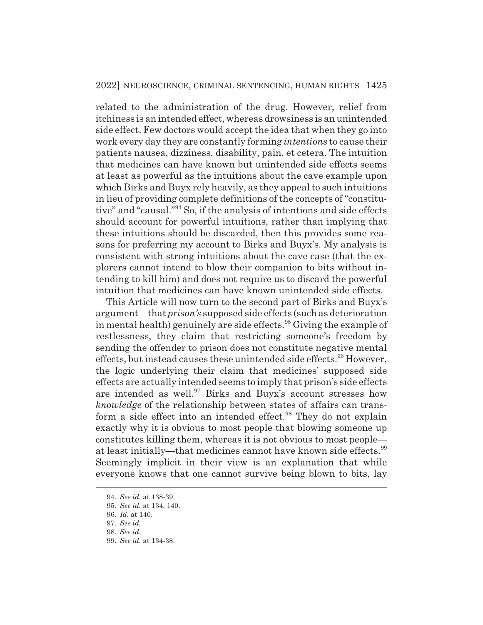related to the administration of the drug. However, relief from itchiness is an intended effect, whereas drowsiness is an unintended side effect. Few doctors would accept the idea that when they go into work every day they are constantly forming *intentions* to cause their patients nausea, dizziness, disability, pain, et cetera. The intuition that medicines can have known but unintended side effects seems at least as powerful as the intuitions about the cave example upon which Birks and Buyx rely heavily, as they appeal to such intuitions in lieu of providing complete definitions of the concepts of "constitutive" and "causal."94 So, if the analysis of intentions and side effects should account for powerful intuitions, rather than implying that these intuitions should be discarded, then this provides some reasons for preferring my account to Birks and Buyx's. My analysis is consistent with strong intuitions about the cave case (that the explorers cannot intend to blow their companion to bits without intending to kill him) and does not require us to discard the powerful intuition that medicines can have known unintended side effects.

This Article will now turn to the second part of Birks and Buyx's argument—that *prison's* supposed side effects (such as deterioration in mental health) genuinely are side effects.<sup>95</sup> Giving the example of restlessness, they claim that restricting someone's freedom by sending the offender to prison does not constitute negative mental effects, but instead causes these unintended side effects.<sup>96</sup> However, the logic underlying their claim that medicines' supposed side effects are actually intended seems to imply that prison's side effects are intended as well.<sup>97</sup> Birks and Buyx's account stresses how *knowledge* of the relationship between states of affairs can transform a side effect into an intended effect.<sup>98</sup> They do not explain exactly why it is obvious to most people that blowing someone up constitutes killing them, whereas it is not obvious to most people at least initially—that medicines cannot have known side effects.<sup>99</sup> Seemingly implicit in their view is an explanation that while everyone knows that one cannot survive being blown to bits, lay

<sup>94.</sup> *See id.* at 138-39.

<sup>95.</sup> *See id.* at 134, 140.

<sup>96.</sup> *Id.* at 140.

<sup>97.</sup> *See id.*

<sup>98.</sup> *See id.*

<sup>99.</sup> *See id.* at 134-38.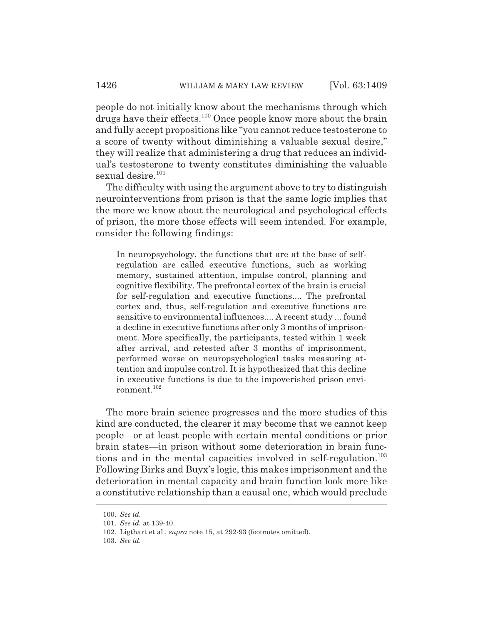people do not initially know about the mechanisms through which drugs have their effects.100 Once people know more about the brain and fully accept propositions like "you cannot reduce testosterone to a score of twenty without diminishing a valuable sexual desire," they will realize that administering a drug that reduces an individual's testosterone to twenty constitutes diminishing the valuable sexual desire.<sup>101</sup>

The difficulty with using the argument above to try to distinguish neurointerventions from prison is that the same logic implies that the more we know about the neurological and psychological effects of prison, the more those effects will seem intended. For example, consider the following findings:

In neuropsychology, the functions that are at the base of selfregulation are called executive functions, such as working memory, sustained attention, impulse control, planning and cognitive flexibility. The prefrontal cortex of the brain is crucial for self-regulation and executive functions.... The prefrontal cortex and, thus, self-regulation and executive functions are sensitive to environmental influences.... A recent study ... found a decline in executive functions after only 3 months of imprisonment. More specifically, the participants, tested within 1 week after arrival, and retested after 3 months of imprisonment, performed worse on neuropsychological tasks measuring attention and impulse control. It is hypothesized that this decline in executive functions is due to the impoverished prison environment.102

The more brain science progresses and the more studies of this kind are conducted, the clearer it may become that we cannot keep people—or at least people with certain mental conditions or prior brain states—in prison without some deterioration in brain functions and in the mental capacities involved in self-regulation.<sup>103</sup> Following Birks and Buyx's logic, this makes imprisonment and the deterioration in mental capacity and brain function look more like a constitutive relationship than a causal one, which would preclude

<sup>100.</sup> *See id.*

<sup>101.</sup> *See id.* at 139-40.

<sup>102.</sup> Ligthart et al., *supra* note 15, at 292-93 (footnotes omitted).

<sup>103.</sup> *See id.*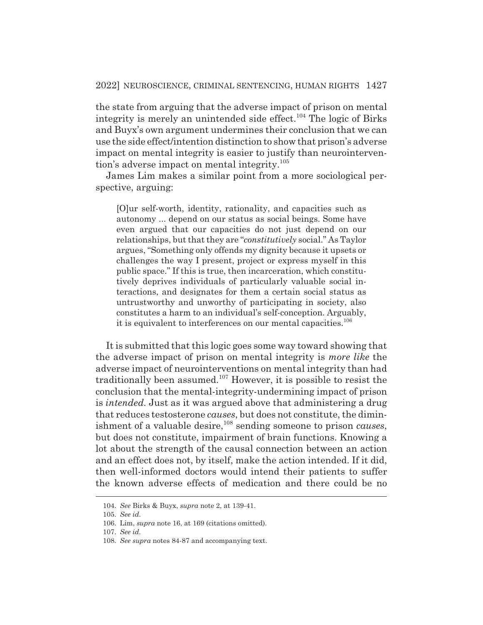the state from arguing that the adverse impact of prison on mental integrity is merely an unintended side effect.<sup>104</sup> The logic of Birks and Buyx's own argument undermines their conclusion that we can use the side effect/intention distinction to show that prison's adverse impact on mental integrity is easier to justify than neurointervention's adverse impact on mental integrity.105

James Lim makes a similar point from a more sociological perspective, arguing:

[O]ur self-worth, identity, rationality, and capacities such as autonomy ... depend on our status as social beings. Some have even argued that our capacities do not just depend on our relationships, but that they are "*constitutively* social." As Taylor argues, "Something only offends my dignity because it upsets or challenges the way I present, project or express myself in this public space." If this is true, then incarceration, which constitutively deprives individuals of particularly valuable social interactions, and designates for them a certain social status as untrustworthy and unworthy of participating in society, also constitutes a harm to an individual's self-conception. Arguably, it is equivalent to interferences on our mental capacities.<sup>106</sup>

It is submitted that this logic goes some way toward showing that the adverse impact of prison on mental integrity is *more like* the adverse impact of neurointerventions on mental integrity than had traditionally been assumed. $107$  However, it is possible to resist the conclusion that the mental-integrity-undermining impact of prison is *intended.* Just as it was argued above that administering a drug that reduces testosterone *causes*, but does not constitute, the diminishment of a valuable desire,<sup>108</sup> sending someone to prison *causes*, but does not constitute, impairment of brain functions. Knowing a lot about the strength of the causal connection between an action and an effect does not, by itself, make the action intended. If it did, then well-informed doctors would intend their patients to suffer the known adverse effects of medication and there could be no

<sup>104.</sup> *See* Birks & Buyx, *supra* note 2, at 139-41.

<sup>105.</sup> *See id.*

<sup>106.</sup> Lim, *supra* note 16, at 169 (citations omitted).

<sup>107.</sup> *See id.*

<sup>108.</sup> *See supra* notes 84-87 and accompanying text.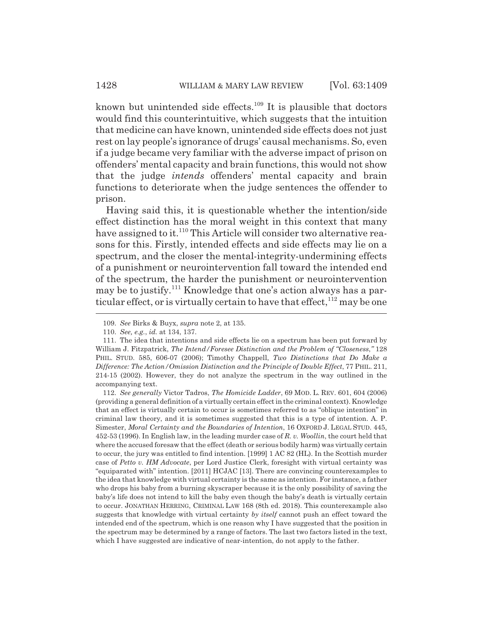known but unintended side effects.<sup>109</sup> It is plausible that doctors would find this counterintuitive, which suggests that the intuition that medicine can have known, unintended side effects does not just rest on lay people's ignorance of drugs' causal mechanisms. So, even if a judge became very familiar with the adverse impact of prison on offenders' mental capacity and brain functions, this would not show that the judge *intends* offenders' mental capacity and brain functions to deteriorate when the judge sentences the offender to prison.

Having said this, it is questionable whether the intention/side effect distinction has the moral weight in this context that many have assigned to it.<sup>110</sup> This Article will consider two alternative reasons for this. Firstly, intended effects and side effects may lie on a spectrum, and the closer the mental-integrity-undermining effects of a punishment or neurointervention fall toward the intended end of the spectrum, the harder the punishment or neurointervention may be to justify.<sup>111</sup> Knowledge that one's action always has a particular effect, or is virtually certain to have that effect,  $112$  may be one

112. *See generally* Victor Tadros, *The Homicide Ladder*, 69 MOD. L. REV. 601, 604 (2006) (providing a general definition of a virtually certain effect in the criminal context). Knowledge that an effect is virtually certain to occur is sometimes referred to as "oblique intention" in criminal law theory, and it is sometimes suggested that this is a type of intention. A. P. Simester, *Moral Certainty and the Boundaries of Intention*, 16 OXFORD J. LEGAL STUD. 445, 452-53 (1996). In English law, in the leading murder case of *R. v. Woollin*, the court held that where the accused foresaw that the effect (death or serious bodily harm) was virtually certain to occur, the jury was entitled to find intention. [1999] 1 AC 82 (HL). In the Scottish murder case of *Petto v. HM Advocate*, per Lord Justice Clerk, foresight with virtual certainty was "equiparated with" intention. [2011] HCJAC [13]. There are convincing counterexamples to the idea that knowledge with virtual certainty is the same as intention. For instance, a father who drops his baby from a burning skyscraper because it is the only possibility of saving the baby's life does not intend to kill the baby even though the baby's death is virtually certain to occur. JONATHAN HERRING, CRIMINAL LAW 168 (8th ed. 2018). This counterexample also suggests that knowledge with virtual certainty *by itself* cannot push an effect toward the intended end of the spectrum, which is one reason why I have suggested that the position in the spectrum may be determined by a range of factors. The last two factors listed in the text, which I have suggested are indicative of near-intention, do not apply to the father.

<sup>109.</sup> *See* Birks & Buyx, *supra* note 2, at 135.

<sup>110.</sup> *See, e.g.*, *id.* at 134, 137.

<sup>111.</sup> The idea that intentions and side effects lie on a spectrum has been put forward by William J. Fitzpatrick, *The Intend/Foresee Distinction and the Problem of "Closeness*,*"* 128 PHIL. STUD. 585, 606-07 (2006); Timothy Chappell, *Two Distinctions that Do Make a Difference: The Action/Omission Distinction and the Principle of Double Effect*, 77 PHIL. 211, 214-15 (2002). However, they do not analyze the spectrum in the way outlined in the accompanying text.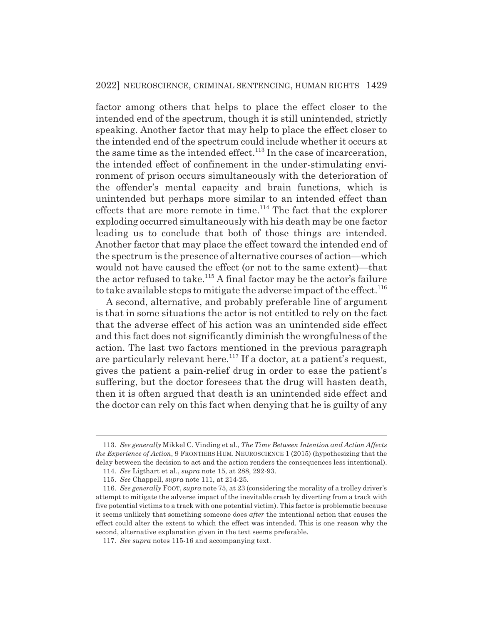factor among others that helps to place the effect closer to the intended end of the spectrum, though it is still unintended, strictly speaking. Another factor that may help to place the effect closer to the intended end of the spectrum could include whether it occurs at the same time as the intended effect.<sup>113</sup> In the case of incarceration, the intended effect of confinement in the under-stimulating environment of prison occurs simultaneously with the deterioration of the offender's mental capacity and brain functions, which is unintended but perhaps more similar to an intended effect than effects that are more remote in time.<sup>114</sup> The fact that the explorer exploding occurred simultaneously with his death may be one factor leading us to conclude that both of those things are intended. Another factor that may place the effect toward the intended end of the spectrum is the presence of alternative courses of action—which would not have caused the effect (or not to the same extent)—that the actor refused to take.<sup>115</sup> A final factor may be the actor's failure to take available steps to mitigate the adverse impact of the effect.<sup>116</sup>

A second, alternative, and probably preferable line of argument is that in some situations the actor is not entitled to rely on the fact that the adverse effect of his action was an unintended side effect and this fact does not significantly diminish the wrongfulness of the action. The last two factors mentioned in the previous paragraph are particularly relevant here.<sup>117</sup> If a doctor, at a patient's request, gives the patient a pain-relief drug in order to ease the patient's suffering, but the doctor foresees that the drug will hasten death, then it is often argued that death is an unintended side effect and the doctor can rely on this fact when denying that he is guilty of any

<sup>113.</sup> *See generally* Mikkel C. Vinding et al., *The Time Between Intention and Action Affects the Experience of Action*, 9 FRONTIERS HUM. NEUROSCIENCE 1 (2015) (hypothesizing that the delay between the decision to act and the action renders the consequences less intentional).

<sup>114.</sup> *See* Ligthart et al., *supra* note 15, at 288, 292-93.

<sup>115.</sup> *See* Chappell, *supra* note 111, at 214-25.

<sup>116.</sup> *See generally* FOOT, *supra* note 75, at 23 (considering the morality of a trolley driver's attempt to mitigate the adverse impact of the inevitable crash by diverting from a track with five potential victims to a track with one potential victim). This factor is problematic because it seems unlikely that something someone does *after* the intentional action that causes the effect could alter the extent to which the effect was intended. This is one reason why the second, alternative explanation given in the text seems preferable.

<sup>117.</sup> *See supra* notes 115-16 and accompanying text.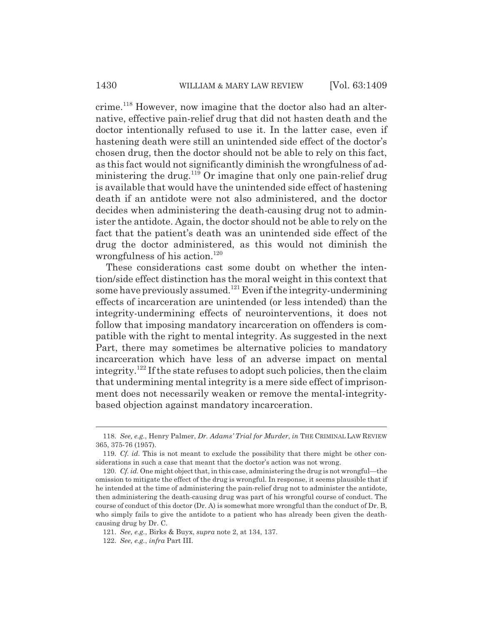crime.118 However, now imagine that the doctor also had an alternative, effective pain-relief drug that did not hasten death and the doctor intentionally refused to use it. In the latter case, even if hastening death were still an unintended side effect of the doctor's chosen drug, then the doctor should not be able to rely on this fact, as this fact would not significantly diminish the wrongfulness of administering the drug.<sup>119</sup> Or imagine that only one pain-relief drug is available that would have the unintended side effect of hastening death if an antidote were not also administered, and the doctor decides when administering the death-causing drug not to administer the antidote. Again, the doctor should not be able to rely on the fact that the patient's death was an unintended side effect of the drug the doctor administered, as this would not diminish the wrongfulness of his action.<sup>120</sup>

These considerations cast some doubt on whether the intention/side effect distinction has the moral weight in this context that some have previously assumed.<sup>121</sup> Even if the integrity-undermining effects of incarceration are unintended (or less intended) than the integrity-undermining effects of neurointerventions, it does not follow that imposing mandatory incarceration on offenders is compatible with the right to mental integrity. As suggested in the next Part, there may sometimes be alternative policies to mandatory incarceration which have less of an adverse impact on mental integrity.<sup>122</sup> If the state refuses to adopt such policies, then the claim that undermining mental integrity is a mere side effect of imprisonment does not necessarily weaken or remove the mental-integritybased objection against mandatory incarceration.

<sup>118.</sup> *See, e.g.*, Henry Palmer, *Dr. Adams' Trial for Murder*, *in* THE CRIMINAL LAW REVIEW 365, 375-76 (1957).

<sup>119.</sup> *Cf. id.* This is not meant to exclude the possibility that there might be other considerations in such a case that meant that the doctor's action was not wrong.

<sup>120.</sup> *Cf. id.* One might object that, in this case, administering the drug is not wrongful—the omission to mitigate the effect of the drug is wrongful. In response, it seems plausible that if he intended at the time of administering the pain-relief drug not to administer the antidote, then administering the death-causing drug was part of his wrongful course of conduct. The course of conduct of this doctor (Dr. A) is somewhat more wrongful than the conduct of Dr. B, who simply fails to give the antidote to a patient who has already been given the deathcausing drug by Dr. C.

<sup>121.</sup> *See, e.g.*, Birks & Buyx, *supra* note 2, at 134, 137.

<sup>122.</sup> *See, e.g.*, *infra* Part III.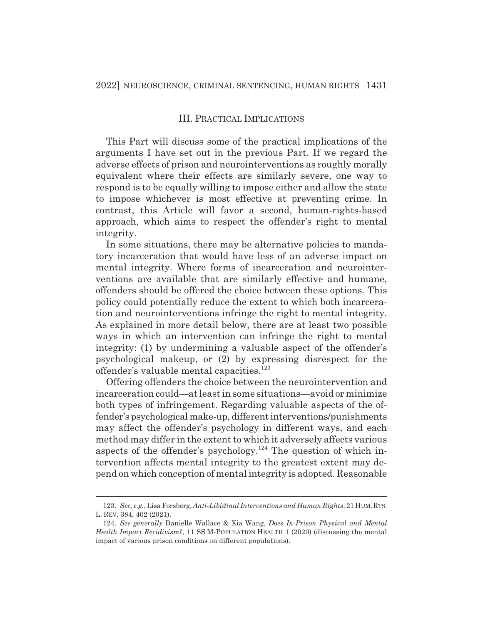### III. PRACTICAL IMPLICATIONS

This Part will discuss some of the practical implications of the arguments I have set out in the previous Part. If we regard the adverse effects of prison and neurointerventions as roughly morally equivalent where their effects are similarly severe, one way to respond is to be equally willing to impose either and allow the state to impose whichever is most effective at preventing crime. In contrast, this Article will favor a second, human-rights-based approach, which aims to respect the offender's right to mental integrity.

In some situations, there may be alternative policies to mandatory incarceration that would have less of an adverse impact on mental integrity. Where forms of incarceration and neurointerventions are available that are similarly effective and humane, offenders should be offered the choice between these options. This policy could potentially reduce the extent to which both incarceration and neurointerventions infringe the right to mental integrity. As explained in more detail below, there are at least two possible ways in which an intervention can infringe the right to mental integrity: (1) by undermining a valuable aspect of the offender's psychological makeup, or (2) by expressing disrespect for the offender's valuable mental capacities.<sup>123</sup>

Offering offenders the choice between the neurointervention and incarceration could—at least in some situations—avoid or minimize both types of infringement. Regarding valuable aspects of the offender's psychological make-up, different interventions/punishments may affect the offender's psychology in different ways, and each method may differ in the extent to which it adversely affects various aspects of the offender's psychology.<sup>124</sup> The question of which intervention affects mental integrity to the greatest extent may depend on which conception of mental integrity is adopted. Reasonable

<sup>123.</sup> *See, e.g.*, Lisa Forsberg, *Anti-Libidinal Interventions and Human Rights*, 21 HUM.RTS. L. REV. 384, 402 (2021).

<sup>124.</sup> *See generally* Danielle Wallace & Xia Wang, *Does In-Prison Physical and Mental Health Impact Recidivism?*, 11 SS M-POPULATION HEALTH 1 (2020) (discussing the mental impact of various prison conditions on different populations).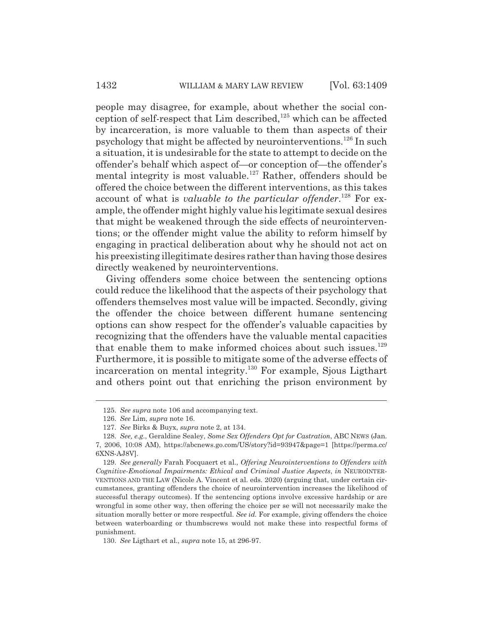people may disagree, for example, about whether the social conception of self-respect that  $Lim$  described,<sup>125</sup> which can be affected by incarceration, is more valuable to them than aspects of their psychology that might be affected by neurointerventions.126 In such a situation, it is undesirable for the state to attempt to decide on the offender's behalf which aspect of—or conception of—the offender's mental integrity is most valuable.<sup>127</sup> Rather, offenders should be offered the choice between the different interventions, as this takes account of what is *valuable to the particular offender*. 128 For example, the offender might highly value his legitimate sexual desires that might be weakened through the side effects of neurointerventions; or the offender might value the ability to reform himself by engaging in practical deliberation about why he should not act on his preexisting illegitimate desires rather than having those desires directly weakened by neurointerventions.

Giving offenders some choice between the sentencing options could reduce the likelihood that the aspects of their psychology that offenders themselves most value will be impacted. Secondly, giving the offender the choice between different humane sentencing options can show respect for the offender's valuable capacities by recognizing that the offenders have the valuable mental capacities that enable them to make informed choices about such issues.<sup>129</sup> Furthermore, it is possible to mitigate some of the adverse effects of incarceration on mental integrity.130 For example, Sjous Ligthart and others point out that enriching the prison environment by

<sup>125.</sup> *See supra* note 106 and accompanying text.

<sup>126.</sup> *See* Lim, *supra* note 16.

<sup>127.</sup> *See* Birks & Buyx, *supra* note 2, at 134.

<sup>128.</sup> *See, e.g.*, Geraldine Sealey, *Some Sex Offenders Opt for Castration*, ABC NEWS (Jan. 7, 2006, 10:08 AM), https://abcnews.go.com/US/story?id=93947&page=1 [https://perma.cc/ 6XNS-AJ8V].

<sup>129.</sup> *See generally* Farah Focquaert et al., *Offering Neurointerventions to Offenders with Cognitive-Emotional Impairments: Ethical and Criminal Justice Aspects*, *in* NEUROINTER-VENTIONS AND THE LAW (Nicole A. Vincent et al. eds. 2020) (arguing that, under certain circumstances, granting offenders the choice of neurointervention increases the likelihood of successful therapy outcomes). If the sentencing options involve excessive hardship or are wrongful in some other way, then offering the choice per se will not necessarily make the situation morally better or more respectful. *See id.* For example, giving offenders the choice between waterboarding or thumbscrews would not make these into respectful forms of punishment.

<sup>130.</sup> *See* Ligthart et al., *supra* note 15, at 296-97.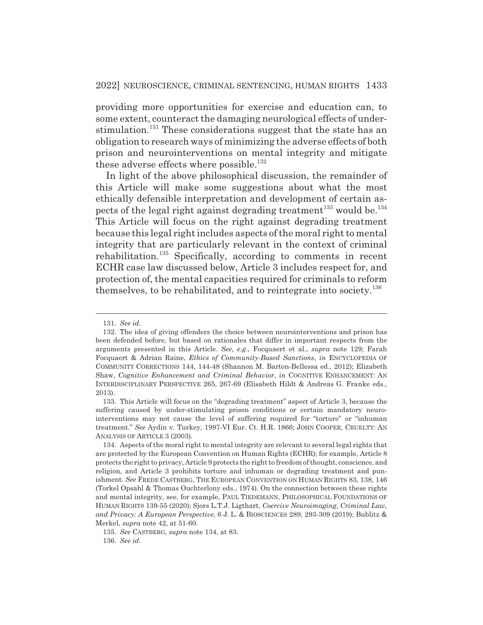providing more opportunities for exercise and education can, to some extent, counteract the damaging neurological effects of understimulation.<sup>131</sup> These considerations suggest that the state has an obligation to research ways of minimizing the adverse effects of both prison and neurointerventions on mental integrity and mitigate these adverse effects where possible.<sup>132</sup>

In light of the above philosophical discussion, the remainder of this Article will make some suggestions about what the most ethically defensible interpretation and development of certain aspects of the legal right against degrading treatment<sup>133</sup> would be.<sup>134</sup> This Article will focus on the right against degrading treatment because this legal right includes aspects of the moral right to mental integrity that are particularly relevant in the context of criminal rehabilitation.135 Specifically, according to comments in recent ECHR case law discussed below, Article 3 includes respect for, and protection of, the mental capacities required for criminals to reform themselves, to be rehabilitated, and to reintegrate into society. $136$ 

<sup>131.</sup> *See id.*

<sup>132.</sup> The idea of giving offenders the choice between neurointerventions and prison has been defended before, but based on rationales that differ in important respects from the arguments presented in this Article. *See, e.g.*, Focquaert et al., *supra* note 129; Farah Focquaert & Adrian Raine, *Ethics of Community-Based Sanctions*, *in* ENCYCLOPEDIA OF COMMUNITY CORRECTIONS 144, 144-48 (Shannon M. Barton-Bellessa ed., 2012); Elizabeth Shaw, *Cognitive Enhancement and Criminal Behavior*, *in* COGNITIVE ENHANCEMENT: AN INTERDISCIPLINARY PERSPECTIVE 265, 267-69 (Elisabeth Hildt & Andreas G. Franke eds., 2013).

<sup>133.</sup> This Article will focus on the "degrading treatment" aspect of Article 3, because the suffering caused by under-stimulating prison conditions or certain mandatory neurointerventions may not cause the level of suffering required for "torture" or "inhuman treatment." *See* Aydin v. Turkey, 1997-VI Eur. Ct. H.R. 1866; JOHN COOPER, CRUELTY: AN ANALYSIS OF ARTICLE 3 (2003).

<sup>134.</sup> Aspects of the moral right to mental integrity are relevant to several legal rights that are protected by the European Convention on Human Rights (ECHR); for example, Article 8 protects the right to privacy, Article 9 protects the right to freedom of thought, conscience, and religion, and Article 3 prohibits torture and inhuman or degrading treatment and punishment. *See* FREDE CASTBERG, THE EUROPEAN CONVENTION ON HUMAN RIGHTS 83, 138, 146 (Torkel Opsahl & Thomas Ouchterlony eds., 1974). On the connection between these rights and mental integrity, see, for example, PAUL TIEDEMANN, PHILOSOPHICAL FOUNDATIONS OF HUMAN RIGHTS 139-55 (2020); Sjors L.T.J. Ligthart, *Coercive Neuroimaging, Criminal Law, and Privacy: A European Perspective*, 6 J. L. & BIOSCIENCES 289, 293-309 (2019); Bublitz & Merkel, *supra* note 42, at 51-60.

<sup>135.</sup> *See* CASTBERG, *supra* note 134, at 83.

<sup>136.</sup> *See id.*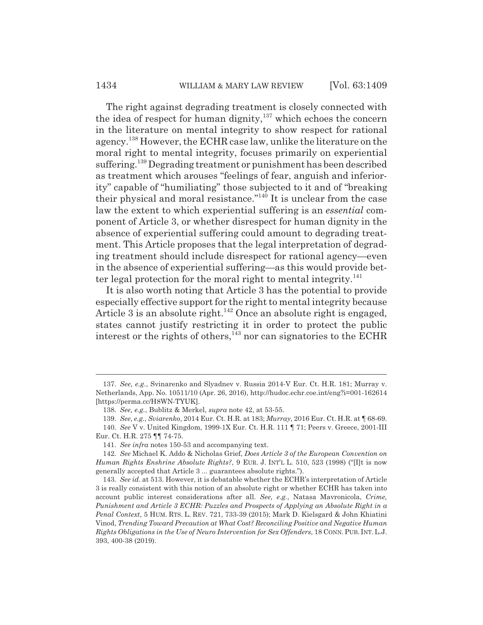The right against degrading treatment is closely connected with the idea of respect for human dignity,<sup>137</sup> which echoes the concern in the literature on mental integrity to show respect for rational agency.138 However, the ECHR case law, unlike the literature on the moral right to mental integrity, focuses primarily on experiential suffering.<sup>139</sup> Degrading treatment or punishment has been described as treatment which arouses "feelings of fear, anguish and inferiority" capable of "humiliating" those subjected to it and of "breaking their physical and moral resistance."140 It is unclear from the case law the extent to which experiential suffering is an *essential* component of Article 3, or whether disrespect for human dignity in the absence of experiential suffering could amount to degrading treatment. This Article proposes that the legal interpretation of degrading treatment should include disrespect for rational agency—even in the absence of experiential suffering—as this would provide better legal protection for the moral right to mental integrity. $^{141}$ 

It is also worth noting that Article 3 has the potential to provide especially effective support for the right to mental integrity because Article 3 is an absolute right.<sup>142</sup> Once an absolute right is engaged, states cannot justify restricting it in order to protect the public interest or the rights of others,<sup>143</sup> nor can signatories to the ECHR

<sup>137.</sup> *See, e.g.*, Svinarenko and Slyadnev v. Russia 2014-V Eur. Ct. H.R. 181; Murray v. Netherlands, App. No. 10511/10 (Apr. 26, 2016), http://hudoc.echr.coe.int/eng?i=001-162614 [https://perma.cc/H8WN-TYUK].

<sup>138.</sup> *See, e.g.*, Bublitz & Merkel, *supra* note 42, at 53-55.

<sup>139.</sup> *See, e.g.*, *Sviarenko*, 2014 Eur. Ct. H.R. at 183; *Murray*, 2016 Eur. Ct. H.R. at ¶ 68-69.

<sup>140.</sup> *See* V v. United Kingdom, 1999-1X Eur. Ct. H.R. 111 ¶ 71; Peers v. Greece, 2001-III Eur. Ct. H.R. 275 ¶¶ 74-75.

<sup>141.</sup> *See infra* notes 150-53 and accompanying text.

<sup>142.</sup> *See* Michael K. Addo & Nicholas Grief, *Does Article 3 of the European Convention on Human Rights Enshrine Absolute Rights?*, 9 EUR. J. INT'L L. 510, 523 (1998) ("[I]t is now generally accepted that Article 3 ... guarantees absolute rights.").

<sup>143.</sup> *See id.* at 513. However, it is debatable whether the ECHR's interpretation of Article 3 is really consistent with this notion of an absolute right or whether ECHR has taken into account public interest considerations after all. *See, e.g.*, Natasa Mavronicola, *Crime, Punishment and Article 3 ECHR: Puzzles and Prospects of Applying an Absolute Right in a Penal Context*, 5 HUM. RTS. L. REV. 721, 733-39 (2015); Mark D. Kielsgard & John Khiatini Vinod, *Trending Toward Precaution at What Cost? Reconciling Positive and Negative Human Rights Obligations in the Use of Neuro Intervention for Sex Offenders*, 18 CONN. PUB. INT. L.J. 393, 400-38 (2019).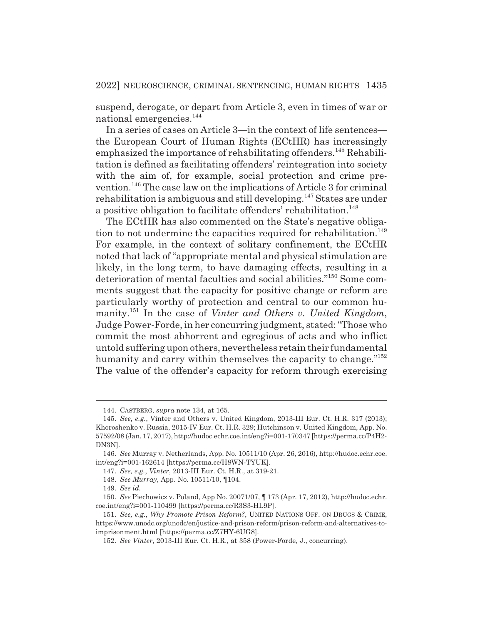suspend, derogate, or depart from Article 3, even in times of war or national emergencies.<sup>144</sup>

In a series of cases on Article 3—in the context of life sentences the European Court of Human Rights (ECtHR) has increasingly emphasized the importance of rehabilitating offenders.<sup>145</sup> Rehabilitation is defined as facilitating offenders' reintegration into society with the aim of, for example, social protection and crime prevention.146 The case law on the implications of Article 3 for criminal rehabilitation is ambiguous and still developing.<sup>147</sup> States are under a positive obligation to facilitate offenders' rehabilitation.<sup>148</sup>

The ECtHR has also commented on the State's negative obligation to not undermine the capacities required for rehabilitation.<sup>149</sup> For example, in the context of solitary confinement, the ECtHR noted that lack of "appropriate mental and physical stimulation are likely, in the long term, to have damaging effects, resulting in a deterioration of mental faculties and social abilities."150 Some comments suggest that the capacity for positive change or reform are particularly worthy of protection and central to our common humanity.151 In the case of *Vinter and Others v. United Kingdom*, Judge Power-Forde, in her concurring judgment, stated: "Those who commit the most abhorrent and egregious of acts and who inflict untold suffering upon others, nevertheless retain their fundamental humanity and carry within themselves the capacity to change."<sup>152</sup> The value of the offender's capacity for reform through exercising

<sup>144.</sup> CASTBERG, *supra* note 134, at 165.

<sup>145.</sup> *See, e.g.*, Vinter and Others v. United Kingdom, 2013-III Eur. Ct. H.R. 317 (2013); Khoroshenko v. Russia, 2015-IV Eur. Ct. H.R. 329; Hutchinson v. United Kingdom, App. No. 57592/08 (Jan. 17, 2017), http://hudoc.echr.coe.int/eng?i=001-170347 [https://perma.cc/P4H2- DN3N].

<sup>146.</sup> *See* Murray v. Netherlands, App. No. 10511/10 (Apr. 26, 2016), http://hudoc.echr.coe. int/eng?i=001-162614 [https://perma.cc/H8WN-TYUK].

<sup>147.</sup> *See, e.g.*, *Vinter*, 2013-III Eur. Ct. H.R., at 319-21.

<sup>148.</sup> *See Murray*, App. No. 10511/10, ¶104.

<sup>149.</sup> *See id.*

<sup>150.</sup> *See* Piechowicz v. Poland, App No. 20071/07, ¶ 173 (Apr. 17, 2012), http://hudoc.echr. coe.int/eng?i=001-110499 [https://perma.cc/R3S3-HL9P].

<sup>151.</sup> *See, e.g.*, *Why Promote Prison Reform?*, UNITED NATIONS OFF. ON DRUGS & CRIME, https://www.unodc.org/unodc/en/justice-and-prison-reform/prison-reform-and-alternatives-toimprisonment.html [https://perma.cc/Z7HY-6UG8].

<sup>152.</sup> *See Vinter*, 2013-III Eur. Ct. H.R., at 358 (Power-Forde, J., concurring).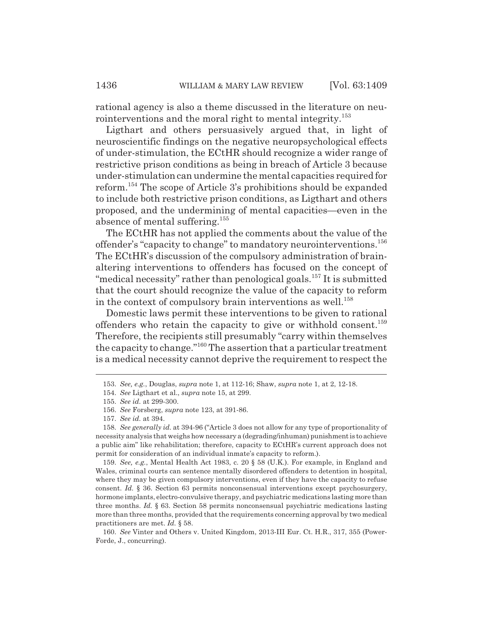rational agency is also a theme discussed in the literature on neurointerventions and the moral right to mental integrity.<sup>153</sup>

Ligthart and others persuasively argued that, in light of neuroscientific findings on the negative neuropsychological effects of under-stimulation, the ECtHR should recognize a wider range of restrictive prison conditions as being in breach of Article 3 because under-stimulation can undermine the mental capacities required for reform.154 The scope of Article 3's prohibitions should be expanded to include both restrictive prison conditions, as Ligthart and others proposed, and the undermining of mental capacities—even in the absence of mental suffering.155

The ECtHR has not applied the comments about the value of the offender's "capacity to change" to mandatory neurointerventions.<sup>156</sup> The ECtHR's discussion of the compulsory administration of brainaltering interventions to offenders has focused on the concept of "medical necessity" rather than penological goals.<sup>157</sup> It is submitted that the court should recognize the value of the capacity to reform in the context of compulsory brain interventions as well.<sup>158</sup>

Domestic laws permit these interventions to be given to rational offenders who retain the capacity to give or withhold consent.<sup>159</sup> Therefore, the recipients still presumably "carry within themselves the capacity to change."160 The assertion that a particular treatment is a medical necessity cannot deprive the requirement to respect the

<sup>153.</sup> *See, e.g.*, Douglas, *supra* note 1, at 112-16; Shaw, *supra* note 1, at 2, 12-18.

<sup>154.</sup> *See* Ligthart et al., *supra* note 15, at 299.

<sup>155.</sup> *See id.* at 299-300.

<sup>156.</sup> *See* Forsberg, *supra* note 123, at 391-86.

<sup>157.</sup> *See id.* at 394.

<sup>158.</sup> *See generally id.* at 394-96 ("Article 3 does not allow for any type of proportionality of necessity analysis that weighs how necessary a (degrading/inhuman) punishment is to achieve a public aim" like rehabilitation; therefore, capacity to ECtHR's current approach does not permit for consideration of an individual inmate's capacity to reform.).

<sup>159.</sup> *See, e.g.*, Mental Health Act 1983, c. 20 § 58 (U.K.). For example, in England and Wales, criminal courts can sentence mentally disordered offenders to detention in hospital, where they may be given compulsory interventions, even if they have the capacity to refuse consent. *Id.* § 36. Section 63 permits nonconsensual interventions except psychosurgery, hormone implants, electro-convulsive therapy, and psychiatric medications lasting more than three months. *Id.* § 63. Section 58 permits nonconsensual psychiatric medications lasting more than three months, provided that the requirements concerning approval by two medical practitioners are met. *Id.* § 58.

<sup>160.</sup> *See* Vinter and Others v. United Kingdom, 2013-III Eur. Ct. H.R., 317, 355 (Power-Forde, J., concurring).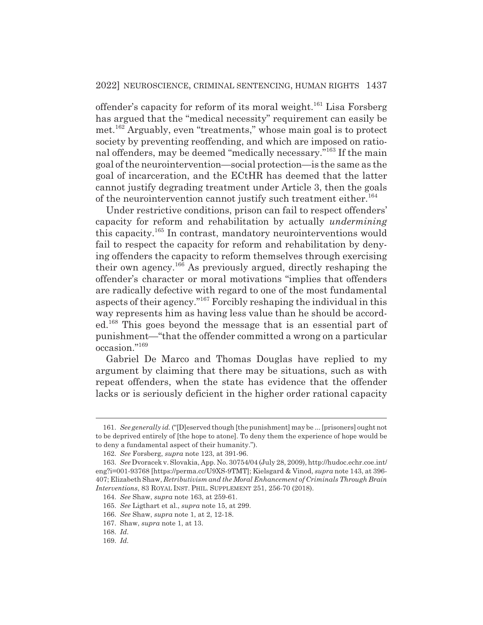offender's capacity for reform of its moral weight.<sup>161</sup> Lisa Forsberg has argued that the "medical necessity" requirement can easily be met.162 Arguably, even "treatments," whose main goal is to protect society by preventing reoffending, and which are imposed on rational offenders, may be deemed "medically necessary."163 If the main goal of the neurointervention—social protection—is the same as the goal of incarceration, and the ECtHR has deemed that the latter cannot justify degrading treatment under Article 3, then the goals of the neurointervention cannot justify such treatment either.<sup>164</sup>

Under restrictive conditions, prison can fail to respect offenders' capacity for reform and rehabilitation by actually *undermining* this capacity.165 In contrast, mandatory neurointerventions would fail to respect the capacity for reform and rehabilitation by denying offenders the capacity to reform themselves through exercising their own agency.166 As previously argued, directly reshaping the offender's character or moral motivations "implies that offenders are radically defective with regard to one of the most fundamental aspects of their agency."167 Forcibly reshaping the individual in this way represents him as having less value than he should be accorded.168 This goes beyond the message that is an essential part of punishment—"that the offender committed a wrong on a particular occasion."169

Gabriel De Marco and Thomas Douglas have replied to my argument by claiming that there may be situations, such as with repeat offenders, when the state has evidence that the offender lacks or is seriously deficient in the higher order rational capacity

<sup>161.</sup> *See generally id.* ("[D]eserved though [the punishment] may be ... [prisoners] ought not to be deprived entirely of [the hope to atone]. To deny them the experience of hope would be to deny a fundamental aspect of their humanity.").

<sup>162.</sup> *See* Forsberg, *supra* note 123, at 391-96.

<sup>163.</sup> *See* Dvoracek v. Slovakia, App. No. 30754/04 (July 28, 2009), http://hudoc.echr.coe.int/ eng?i=001-93768 [https://perma.cc/U9XS-9TMT]; Kielsgard & Vinod, *supra* note 143, at 396- 407; Elizabeth Shaw, *Retributivism and the Moral Enhancement of Criminals Through Brain Interventions*, 83 ROYAL INST. PHIL. SUPPLEMENT 251, 256-70 (2018).

<sup>164.</sup> *See* Shaw, *supra* note 163, at 259-61.

<sup>165.</sup> *See* Ligthart et al., *supra* note 15, at 299.

<sup>166.</sup> *See* Shaw, *supra* note 1, at 2, 12-18.

<sup>167.</sup> Shaw, *supra* note 1, at 13.

<sup>168.</sup> *Id.*

<sup>169.</sup> *Id.*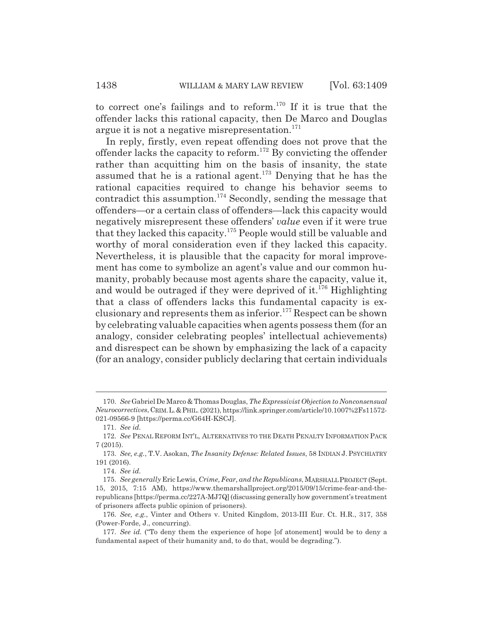to correct one's failings and to reform.<sup>170</sup> If it is true that the offender lacks this rational capacity, then De Marco and Douglas argue it is not a negative misrepresentation. $171$ 

In reply, firstly, even repeat offending does not prove that the offender lacks the capacity to reform.<sup>172</sup> By convicting the offender rather than acquitting him on the basis of insanity, the state assumed that he is a rational agent.173 Denying that he has the rational capacities required to change his behavior seems to contradict this assumption.<sup>174</sup> Secondly, sending the message that offenders—or a certain class of offenders—lack this capacity would negatively misrepresent these offenders' *value* even if it were true that they lacked this capacity.175 People would still be valuable and worthy of moral consideration even if they lacked this capacity. Nevertheless, it is plausible that the capacity for moral improvement has come to symbolize an agent's value and our common humanity, probably because most agents share the capacity, value it, and would be outraged if they were deprived of it.<sup>176</sup> Highlighting that a class of offenders lacks this fundamental capacity is exclusionary and represents them as inferior.<sup>177</sup> Respect can be shown by celebrating valuable capacities when agents possess them (for an analogy, consider celebrating peoples' intellectual achievements) and disrespect can be shown by emphasizing the lack of a capacity (for an analogy, consider publicly declaring that certain individuals

<sup>170.</sup> *See* Gabriel De Marco & Thomas Douglas, *The Expressivist Objection to Nonconsensual Neurocorrectives*, CRIM.L.&PHIL. (2021), https://link.springer.com/article/10.1007%2Fs11572- 021-09566-9 [https://perma.cc/G64H-KSCJ].

<sup>171.</sup> *See id.*

<sup>172.</sup> *See* PENAL REFORM INT'L, ALTERNATIVES TO THE DEATH PENALTY INFORMATION PACK 7 (2015).

<sup>173.</sup> *See, e.g.*, T.V. Asokan, *The Insanity Defense: Related Issues*, 58 INDIAN J. PSYCHIATRY 191 (2016).

<sup>174.</sup> *See id.*

<sup>175.</sup> *See generally* Eric Lewis, *Crime, Fear, and the Republicans*, MARSHALL PROJECT (Sept. 15, 2015, 7:15 AM), https://www.themarshallproject.org/2015/09/15/crime-fear-and-therepublicans [https://perma.cc/227A-MJ7Q] (discussing generally how government's treatment of prisoners affects public opinion of prisoners).

<sup>176.</sup> *See, e.g.*, Vinter and Others v. United Kingdom, 2013-III Eur. Ct. H.R., 317, 358 (Power-Forde, J., concurring).

<sup>177.</sup> *See id.* ("To deny them the experience of hope [of atonement] would be to deny a fundamental aspect of their humanity and, to do that, would be degrading.").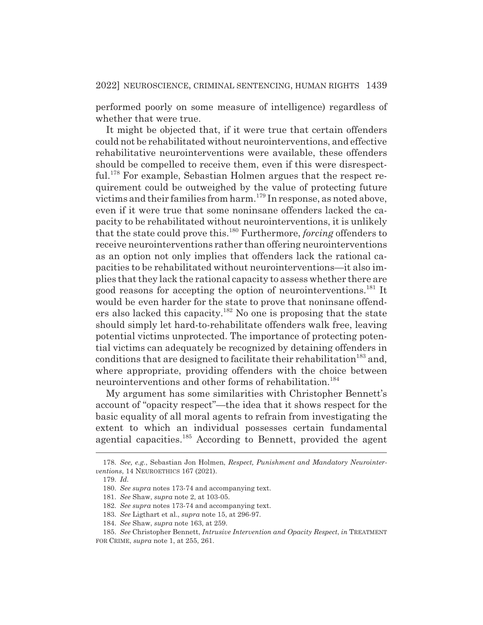performed poorly on some measure of intelligence) regardless of whether that were true.

It might be objected that, if it were true that certain offenders could not be rehabilitated without neurointerventions, and effective rehabilitative neurointerventions were available, these offenders should be compelled to receive them, even if this were disrespectful.<sup>178</sup> For example, Sebastian Holmen argues that the respect requirement could be outweighed by the value of protecting future victims and their families from harm.179 In response, as noted above, even if it were true that some noninsane offenders lacked the capacity to be rehabilitated without neurointerventions, it is unlikely that the state could prove this.180 Furthermore, *forcing* offenders to receive neurointerventions rather than offering neurointerventions as an option not only implies that offenders lack the rational capacities to be rehabilitated without neurointerventions—it also implies that they lack the rational capacity to assess whether there are good reasons for accepting the option of neurointerventions.<sup>181</sup> It would be even harder for the state to prove that noninsane offenders also lacked this capacity.182 No one is proposing that the state should simply let hard-to-rehabilitate offenders walk free, leaving potential victims unprotected. The importance of protecting potential victims can adequately be recognized by detaining offenders in conditions that are designed to facilitate their rehabilitation<sup>183</sup> and, where appropriate, providing offenders with the choice between neurointerventions and other forms of rehabilitation.<sup>184</sup>

My argument has some similarities with Christopher Bennett's account of "opacity respect"—the idea that it shows respect for the basic equality of all moral agents to refrain from investigating the extent to which an individual possesses certain fundamental agential capacities.<sup>185</sup> According to Bennett, provided the agent

<sup>178.</sup> *See, e.g.*, Sebastian Jon Holmen, *Respect, Punishment and Mandatory Neurointerventions*, 14 NEUROETHICS 167 (2021).

<sup>179.</sup> *Id.*

<sup>180.</sup> *See supra* notes 173-74 and accompanying text.

<sup>181.</sup> *See* Shaw, *supra* note 2, at 103-05.

<sup>182.</sup> *See supra* notes 173-74 and accompanying text.

<sup>183.</sup> *See* Ligthart et al., *supra* note 15, at 296-97.

<sup>184.</sup> *See* Shaw, *supra* note 163, at 259.

<sup>185.</sup> *See* Christopher Bennett, *Intrusive Intervention and Opacity Respect*, *in* TREATMENT FOR CRIME, *supra* note 1, at 255, 261.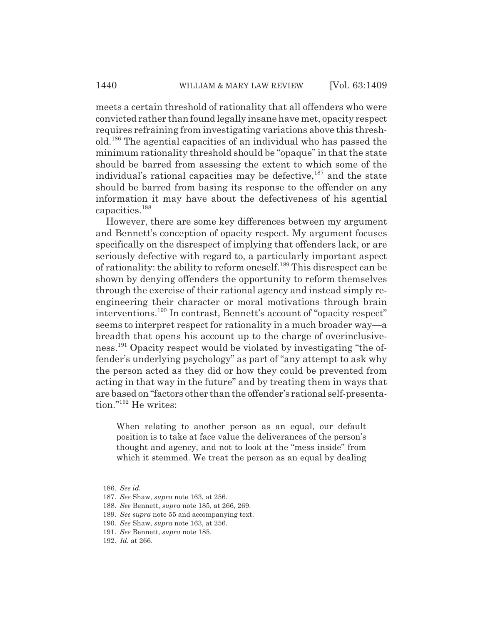meets a certain threshold of rationality that all offenders who were convicted rather than found legally insane have met, opacity respect requires refraining from investigating variations above this threshold.186 The agential capacities of an individual who has passed the minimum rationality threshold should be "opaque" in that the state should be barred from assessing the extent to which some of the individual's rational capacities may be defective,  $187$  and the state should be barred from basing its response to the offender on any information it may have about the defectiveness of his agential capacities.<sup>188</sup>

However, there are some key differences between my argument and Bennett's conception of opacity respect. My argument focuses specifically on the disrespect of implying that offenders lack, or are seriously defective with regard to, a particularly important aspect of rationality: the ability to reform oneself.189 This disrespect can be shown by denying offenders the opportunity to reform themselves through the exercise of their rational agency and instead simply reengineering their character or moral motivations through brain interventions.190 In contrast, Bennett's account of "opacity respect" seems to interpret respect for rationality in a much broader way—a breadth that opens his account up to the charge of overinclusiveness.191 Opacity respect would be violated by investigating "the offender's underlying psychology" as part of "any attempt to ask why the person acted as they did or how they could be prevented from acting in that way in the future" and by treating them in ways that are based on "factors other than the offender's rational self-presentation."192 He writes:

When relating to another person as an equal, our default position is to take at face value the deliverances of the person's thought and agency, and not to look at the "mess inside" from which it stemmed. We treat the person as an equal by dealing

<sup>186.</sup> *See id.*

<sup>187.</sup> *See* Shaw, *supra* note 163, at 256.

<sup>188.</sup> *See* Bennett, *supra* note 185, at 266, 269.

<sup>189.</sup> *See supra* note 55 and accompanying text.

<sup>190.</sup> *See* Shaw, *supra* note 163, at 256.

<sup>191.</sup> *See* Bennett, *supra* note 185.

<sup>192.</sup> *Id.* at 266.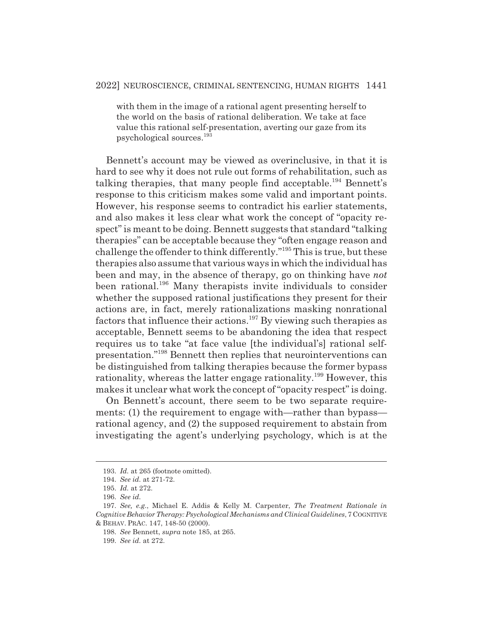with them in the image of a rational agent presenting herself to the world on the basis of rational deliberation. We take at face value this rational self-presentation, averting our gaze from its psychological sources.<sup>193</sup>

Bennett's account may be viewed as overinclusive, in that it is hard to see why it does not rule out forms of rehabilitation, such as talking therapies, that many people find acceptable.<sup>194</sup> Bennett's response to this criticism makes some valid and important points. However, his response seems to contradict his earlier statements, and also makes it less clear what work the concept of "opacity respect" is meant to be doing. Bennett suggests that standard "talking therapies" can be acceptable because they "often engage reason and challenge the offender to think differently."195 This is true, but these therapies also assume that various ways in which the individual has been and may, in the absence of therapy, go on thinking have *not* been rational.<sup>196</sup> Many therapists invite individuals to consider whether the supposed rational justifications they present for their actions are, in fact, merely rationalizations masking nonrational factors that influence their actions.<sup>197</sup> By viewing such therapies as acceptable, Bennett seems to be abandoning the idea that respect requires us to take "at face value [the individual's] rational selfpresentation."198 Bennett then replies that neurointerventions can be distinguished from talking therapies because the former bypass rationality, whereas the latter engage rationality.<sup>199</sup> However, this makes it unclear what work the concept of "opacity respect" is doing.

On Bennett's account, there seem to be two separate requirements: (1) the requirement to engage with—rather than bypass rational agency, and (2) the supposed requirement to abstain from investigating the agent's underlying psychology, which is at the

<sup>193.</sup> *Id.* at 265 (footnote omitted).

<sup>194.</sup> *See id.* at 271-72.

<sup>195.</sup> *Id.* at 272.

<sup>196.</sup> *See id.*

<sup>197.</sup> *See, e.g.*, Michael E. Addis & Kelly M. Carpenter, *The Treatment Rationale in Cognitive Behavior Therapy: Psychological Mechanisms and Clinical Guidelines*, 7 COGNITIVE & BEHAV. PRAC. 147, 148-50 (2000).

<sup>198.</sup> *See* Bennett, *supra* note 185, at 265.

<sup>199.</sup> *See id.* at 272.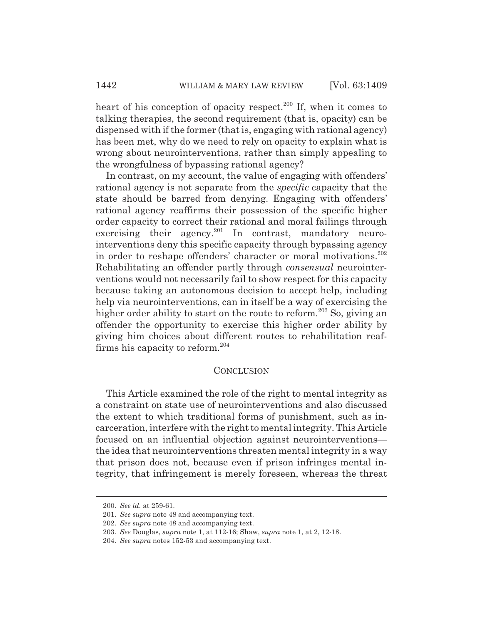heart of his conception of opacity respect. $200$  If, when it comes to talking therapies, the second requirement (that is, opacity) can be dispensed with if the former (that is, engaging with rational agency) has been met, why do we need to rely on opacity to explain what is wrong about neurointerventions, rather than simply appealing to the wrongfulness of bypassing rational agency?

In contrast, on my account, the value of engaging with offenders' rational agency is not separate from the *specific* capacity that the state should be barred from denying. Engaging with offenders' rational agency reaffirms their possession of the specific higher order capacity to correct their rational and moral failings through exercising their agency.<sup>201</sup> In contrast, mandatory neurointerventions deny this specific capacity through bypassing agency in order to reshape offenders' character or moral motivations.<sup>202</sup> Rehabilitating an offender partly through *consensual* neurointerventions would not necessarily fail to show respect for this capacity because taking an autonomous decision to accept help, including help via neurointerventions, can in itself be a way of exercising the higher order ability to start on the route to reform.<sup>203</sup> So, giving an offender the opportunity to exercise this higher order ability by giving him choices about different routes to rehabilitation reaffirms his capacity to reform. $204$ 

#### CONCLUSION

This Article examined the role of the right to mental integrity as a constraint on state use of neurointerventions and also discussed the extent to which traditional forms of punishment, such as incarceration, interfere with the right to mental integrity. This Article focused on an influential objection against neurointerventions the idea that neurointerventions threaten mental integrity in a way that prison does not, because even if prison infringes mental integrity, that infringement is merely foreseen, whereas the threat

<sup>200.</sup> *See id.* at 259-61.

<sup>201.</sup> *See supra* note 48 and accompanying text.

<sup>202.</sup> *See supra* note 48 and accompanying text.

<sup>203.</sup> *See* Douglas, *supra* note 1, at 112-16; Shaw, *supra* note 1, at 2, 12-18.

<sup>204.</sup> *See supra* notes 152-53 and accompanying text.